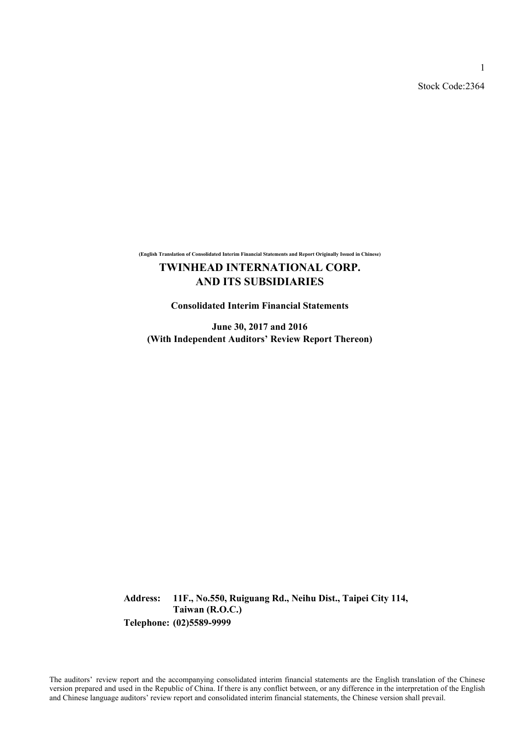Stock Code:2364

1

**(English Translation of Consolidated Interim Financial Statements and Report Originally Issued in Chinese)**

# **TWINHEAD INTERNATIONAL CORP. AND ITS SUBSIDIARIES**

**Consolidated Interim Financial Statements**

**June 30, 2017 and 2016 (With Independent Auditors' Review Report Thereon)**

**Address: 11F., No.550, Ruiguang Rd., Neihu Dist., Taipei City 114, Taiwan (R.O.C.) Telephone: (02)5589-9999**

The auditors' review report and the accompanying consolidated interim financial statements are the English translation of the Chinese version prepared and used in the Republic of China. If there is any conflict between, or any difference in the interpretation of the English and Chinese language auditors' review report and consolidated interim financial statements, the Chinese version shall prevail.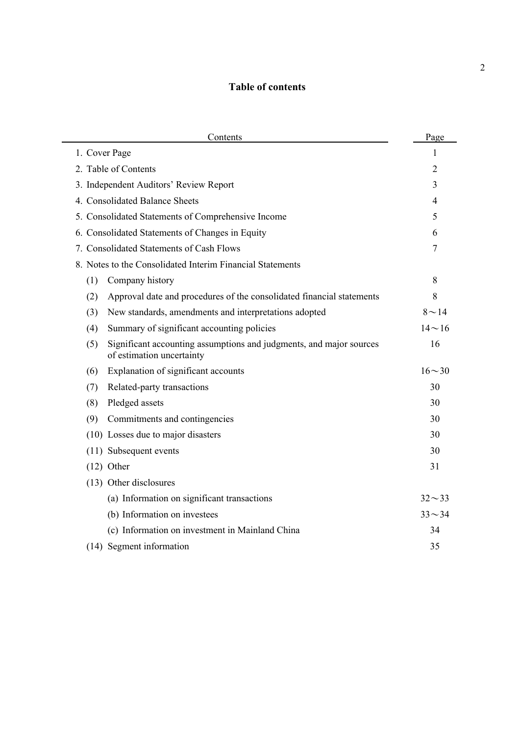# **Table of contents**

| Contents                                                                                                | Page           |
|---------------------------------------------------------------------------------------------------------|----------------|
| 1. Cover Page                                                                                           | 1              |
| 2. Table of Contents                                                                                    | 2              |
| 3. Independent Auditors' Review Report                                                                  | 3              |
| 4. Consolidated Balance Sheets                                                                          | $\overline{4}$ |
| 5. Consolidated Statements of Comprehensive Income                                                      | 5              |
| 6. Consolidated Statements of Changes in Equity                                                         | 6              |
| 7. Consolidated Statements of Cash Flows                                                                | 7              |
| 8. Notes to the Consolidated Interim Financial Statements                                               |                |
| Company history<br>(1)                                                                                  | 8              |
| Approval date and procedures of the consolidated financial statements<br>(2)                            | 8              |
| New standards, amendments and interpretations adopted<br>(3)                                            | $8 - 14$       |
| Summary of significant accounting policies<br>(4)                                                       | $14 \sim 16$   |
| Significant accounting assumptions and judgments, and major sources<br>(5)<br>of estimation uncertainty | 16             |
| Explanation of significant accounts<br>(6)                                                              | $16 - 30$      |
| Related-party transactions<br>(7)                                                                       | 30             |
| Pledged assets<br>(8)                                                                                   | 30             |
| (9)<br>Commitments and contingencies                                                                    | 30             |
| (10) Losses due to major disasters                                                                      | 30             |
| (11) Subsequent events                                                                                  | 30             |
| $(12)$ Other                                                                                            | 31             |
| (13) Other disclosures                                                                                  |                |
| (a) Information on significant transactions                                                             | $32 - 33$      |
| (b) Information on investees                                                                            | $33 - 34$      |
| (c) Information on investment in Mainland China                                                         | 34             |
| (14) Segment information                                                                                | 35             |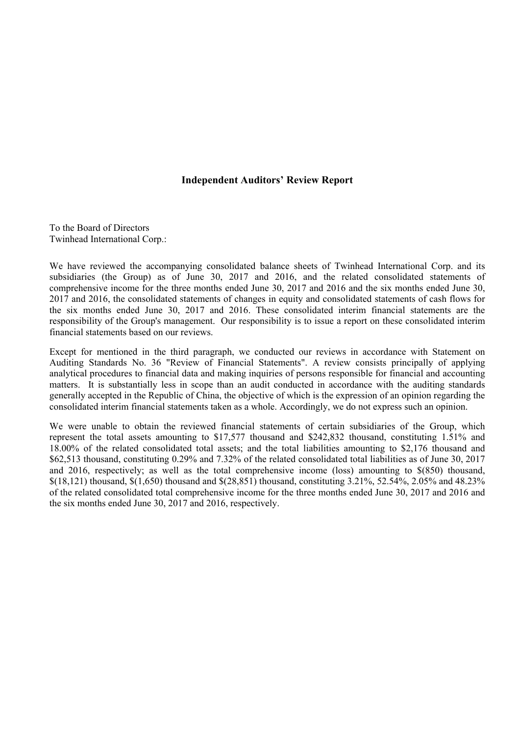### **Independent Auditors' Review Report**

To the Board of Directors Twinhead International Corp.:

We have reviewed the accompanying consolidated balance sheets of Twinhead International Corp. and its subsidiaries (the Group) as of June 30, 2017 and 2016, and the related consolidated statements of comprehensive income for the three months ended June 30, 2017 and 2016 and the six months ended June 30, 2017 and 2016, the consolidated statements of changes in equity and consolidated statements of cash flows for the six months ended June 30, 2017 and 2016. These consolidated interim financial statements are the responsibility of the Group's management. Our responsibility is to issue a report on these consolidated interim financial statements based on our reviews.

Except for mentioned in the third paragraph, we conducted our reviews in accordance with Statement on Auditing Standards No. 36 "Review of Financial Statements". A review consists principally of applying analytical procedures to financial data and making inquiries of persons responsible for financial and accounting matters. It is substantially less in scope than an audit conducted in accordance with the auditing standards generally accepted in the Republic of China, the objective of which is the expression of an opinion regarding the consolidated interim financial statements taken as a whole. Accordingly, we do not express such an opinion.

We were unable to obtain the reviewed financial statements of certain subsidiaries of the Group, which represent the total assets amounting to \$17,577 thousand and \$242,832 thousand, constituting 1.51% and 18.00% of the related consolidated total assets; and the total liabilities amounting to \$2,176 thousand and \$62,513 thousand, constituting 0.29% and 7.32% of the related consolidated total liabilities as of June 30, 2017 and 2016, respectively; as well as the total comprehensive income (loss) amounting to \$(850) thousand, \$(18,121) thousand, \$(1,650) thousand and \$(28,851) thousand, constituting 3.21%, 52.54%, 2.05% and 48.23% of the related consolidated total comprehensive income for the three months ended June 30, 2017 and 2016 and the six months ended June 30, 2017 and 2016, respectively.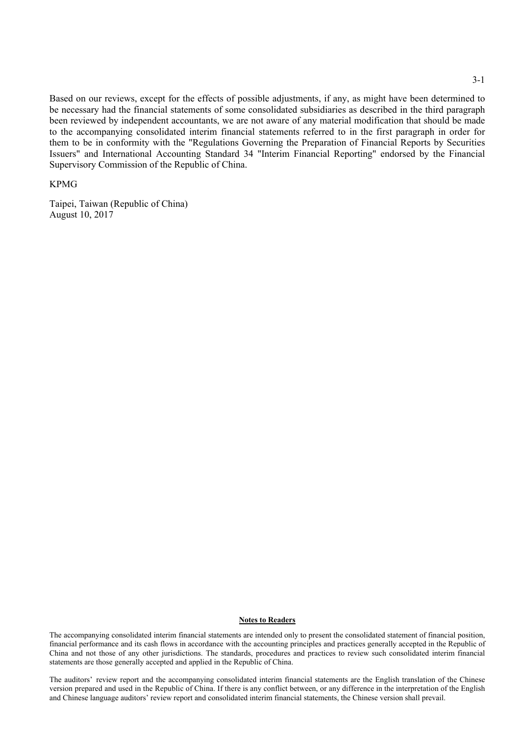Based on our reviews, except for the effects of possible adjustments, if any, as might have been determined to be necessary had the financial statements of some consolidated subsidiaries as described in the third paragraph been reviewed by independent accountants, we are not aware of any material modification that should be made to the accompanying consolidated interim financial statements referred to in the first paragraph in order for them to be in conformity with the "Regulations Governing the Preparation of Financial Reports by Securities Issuers" and International Accounting Standard 34 "Interim Financial Reporting" endorsed by the Financial Supervisory Commission of the Republic of China.

#### KPMG

Taipei, Taiwan (Republic of China) August 10, 2017

#### **Notes to Readers**

The accompanying consolidated interim financial statements are intended only to present the consolidated statement of financial position, financial performance and its cash flows in accordance with the accounting principles and practices generally accepted in the Republic of China and not those of any other jurisdictions. The standards, procedures and practices to review such consolidated interim financial statements are those generally accepted and applied in the Republic of China.

The auditors' review report and the accompanying consolidated interim financial statements are the English translation of the Chinese version prepared and used in the Republic of China. If there is any conflict between, or any difference in the interpretation of the English and Chinese language auditors' review report and consolidated interim financial statements, the Chinese version shall prevail.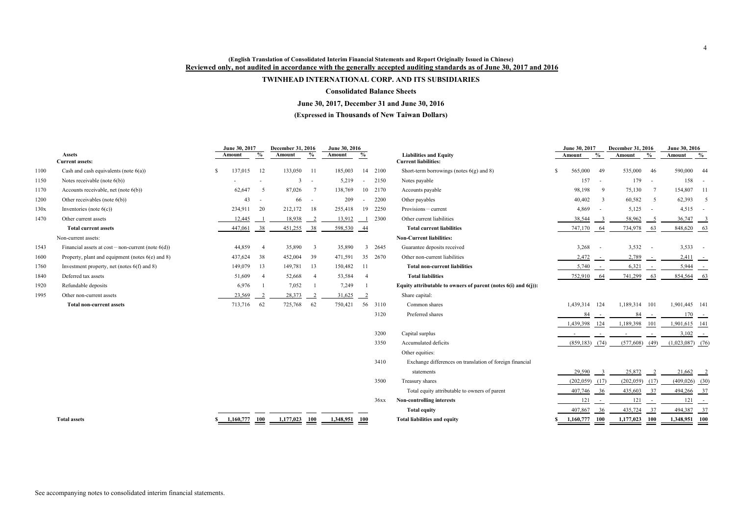### **(English Translation of Consolidated Interim Financial Statements and Report Originally Issued in Chinese) Reviewed only, not audited in accordance with the generally accepted auditing standards as of June 30, 2017 and 2016**

# **TWINHEAD INTERNATIONAL CORP. AND ITS SUBSIDIARIES**

### **Consolidated Balance Sheets**

# **June 30, 2017, December 31 and June 30, 2016**

### **(Expressed in Thousands of New Taiwan Dollars)**

|      |                                                         | June 30, 2017 |                | December 31, 2016 |                            | June 30, 2016 |                 |        |                                                                | June 30, 2017    |                         | December 31, 2016  |                 | June 30, 2016           |                |
|------|---------------------------------------------------------|---------------|----------------|-------------------|----------------------------|---------------|-----------------|--------|----------------------------------------------------------------|------------------|-------------------------|--------------------|-----------------|-------------------------|----------------|
|      | <b>Assets</b><br><b>Current assets:</b>                 | Amount        | $\frac{6}{6}$  | Amount            | $\frac{0}{0}$              | Amount        | $\frac{6}{10}$  |        | <b>Liabilities and Equity</b><br><b>Current liabilities:</b>   | Amount           | $\frac{6}{6}$           | Amount             | $\frac{0}{0}$   | Amount                  | $\frac{6}{10}$ |
| 1100 | Cash and cash equivalents (note $6(a)$ )                | 137,015<br>-S | 12             | 133,050           | - 11                       | 185,003       | 14              | 2100   | Short-term borrowings (notes $6(g)$ and 8)                     | 565,000          | 49                      | 535,000            | 46              | 590,000                 | -44            |
| 1150 | Notes receivable (note $6(b)$ )                         |               |                | 3                 | $\overline{\phantom{a}}$   | 5,219         |                 | 2150   | Notes payable                                                  | 157              | $\sim$                  | 179                | $\sim$          | 158                     |                |
| 1170 | Accounts receivable, net (note $6(b)$ )                 | 62,647        | -5             | 87,026            | $\overline{7}$             | 138,769       | 10              | 2170   | Accounts payable                                               | 98,198           | 9                       | 75,130             | 7               | 154,807                 | - 11           |
| 1200 | Other receivables (note $6(b)$ )                        | 43            |                | 66                | $\overline{\phantom{a}}$   | 209           |                 | 2200   | Other payables                                                 | 40,402           | $\overline{3}$          | 60,582             | $5\overline{)}$ | 62,393                  | -5             |
| 130x | Inventories (note $6(c)$ )                              | 234,911       | 20             | 212,172           | 18                         | 255,418       | 19              | 2250   | Provisions-current                                             | 4,869            | $\sim$                  | 5,125              | $\sim$          | $4,515 -$               |                |
| 1470 | Other current assets                                    | 12,445        |                | 18,938            | $\overline{\phantom{0}}^2$ | 13,912        |                 | 2300   | Other current liabilities                                      | 38,544           | - 3                     | 58,962             | - 5             | 36,747                  | $\frac{3}{2}$  |
|      | <b>Total current assets</b>                             | 447,061       | 38             | 451,255           | 38                         | 598,530       | $-44$           |        | <b>Total current liabilities</b>                               | 747,170          | $-64$                   | 734,978            | $-63$           | 848,620 63              |                |
|      | Non-current assets:                                     |               |                |                   |                            |               |                 |        | <b>Non-Current liabilities:</b>                                |                  |                         |                    |                 |                         |                |
| 1543 | Financial assets at $cost$ – non-current (note $6(d)$ ) | 44,859        | $\overline{4}$ | 35,890            | $\overline{3}$             | 35,890        |                 | 3 2645 | Guarantee deposits received                                    | 3,268            | $\sim$ $-$              | 3,532              | $\sim$ $-$      | $3,533 -$               |                |
| 1600 | Property, plant and equipment (notes $6(e)$ and 8)      | 437,624       | 38             | 452,004           | 39                         | 471,591       | 35              | 2670   | Other non-current liabilities                                  | 2,472            | $\sim$ $-$              | 2,789              | $\sim$ $-$      | $2,411$ -               |                |
| 1760 | Investment property, net (notes $6(f)$ and 8)           | 149,079       | 13             | 149,781           | 13                         | 150,482       | -11             |        | <b>Total non-current liabilities</b>                           | 5,740            | $\sim$ $^{-1}$          | 6,321              | $\sim$ $ \sim$  | 5,944                   | $\sim$         |
| 1840 | Deferred tax assets                                     | 51,609        | $\overline{4}$ | 52,668            | $\overline{4}$             | 53,584        | $\overline{4}$  |        | <b>Total liabilities</b>                                       | 752,910          | 64                      | 741,299            | 63              | 854,564 63              |                |
| 1920 | Refundable deposits                                     | 6,976         |                | 7,052             |                            | 7,249         |                 |        | Equity attributable to owners of parent (notes 6(i) and 6(j)): |                  |                         |                    |                 |                         |                |
| 1995 | Other non-current assets                                | 23,569        | 2              | 28,373            | $\overline{2}$             | 31,625        | $\frac{2}{2}$   |        | Share capital:                                                 |                  |                         |                    |                 |                         |                |
|      | <b>Total non-current assets</b>                         | 713,716       | 62             | 725,768           | 62                         | 750,421       | 56              | 3110   | Common shares                                                  | 1,439,314 124    |                         | 1,189,314 101      |                 | 1,901,445 141           |                |
|      |                                                         |               |                |                   |                            |               |                 | 3120   | Preferred shares                                               | 84               |                         | -84                |                 | $\frac{170}{}$ -        |                |
|      |                                                         |               |                |                   |                            |               |                 |        |                                                                | 1,439,398        | 124                     | 1,189,398          | 101             | $1,901,615$ 141         |                |
|      |                                                         |               |                |                   |                            |               |                 | 3200   | Capital surplus                                                |                  |                         |                    |                 | $3,102$ -               |                |
|      |                                                         |               |                |                   |                            |               |                 | 3350   | Accumulated deficits                                           | $(859,183)$ (74) |                         | (577,608)          | (49)            | $(1,023,087)$ (76)      |                |
|      |                                                         |               |                |                   |                            |               |                 |        | Other equities:                                                |                  |                         |                    |                 |                         |                |
|      |                                                         |               |                |                   |                            |               |                 | 3410   | Exchange differences on translation of foreign financial       |                  |                         |                    |                 |                         |                |
|      |                                                         |               |                |                   |                            |               |                 |        | statements                                                     | 29,590           | $\overline{\mathbf{3}}$ | 25,872             | $\frac{2}{2}$   | $21,662$ $2$            |                |
|      |                                                         |               |                |                   |                            |               |                 | 3500   | Treasury shares                                                | (202, 059)       | (17)                    | $(202,059)$ $(17)$ |                 | $(409, 026)$ (30)       |                |
|      |                                                         |               |                |                   |                            |               |                 |        | Total equity attributable to owners of parent                  | 407,746          | 36                      | 435,603            | $-37$           | 494,266 37              |                |
|      |                                                         |               |                |                   |                            |               |                 | 36xx   | Non-controlling interests                                      | 121              | $\sim$ $ \sim$          | 121                | $\sim$ $ -$     | $\frac{121}{ }$ -       |                |
|      |                                                         |               |                |                   |                            |               |                 |        | <b>Total equity</b>                                            | 407,867          | 36                      | 435,724            | $-37$           | 494,387                 | $-37$          |
|      | <b>Total assets</b>                                     | 1,160,777     | <b>100</b>     | 1,177,023         | 100                        | 1,348,951     | $\frac{100}{2}$ |        | <b>Total liabilities and equity</b>                            | 1,160,777        | 100                     | 1,177,023          | <b>100</b>      | $\frac{1,348,951}{100}$ |                |

|                                                                     |    | June 30, 2017 | December 31, 2016        | June 30, 2016 |                          |             |                |
|---------------------------------------------------------------------|----|---------------|--------------------------|---------------|--------------------------|-------------|----------------|
| <b>Liabilities and Equity</b><br><b>Current liabilities:</b>        |    | Amount        | $\frac{0}{0}$            | Amount        | $\frac{0}{0}$            | Amount      | $\frac{6}{10}$ |
| Short-term borrowings (notes $6(g)$ and 8)                          | \$ | 565,000       | 49                       | 535,000       | 46                       | 590,000     | 44             |
| Notes payable                                                       |    | 157           | $\overline{\phantom{0}}$ | 179           |                          | 158         |                |
|                                                                     |    |               |                          |               |                          |             |                |
| Accounts payable                                                    |    | 98,198        | 9                        | 75,130        | 7                        | 154,807     | 11             |
| Other payables                                                      |    | 40,402        | 3                        | 60,582        | 5                        | 62,393      | 5              |
| $Provisions$ - current                                              |    | 4,869         |                          | 5,125         |                          | 4,515       |                |
| Other current liabilities                                           |    | 38,544        | 3                        | 58,962        | $\overline{5}$           | 36,747      | $\overline{3}$ |
| <b>Total current liabilities</b>                                    |    | 747,170       | 64                       | 734,978       | 63                       | 848,620     | 63             |
| <b>Non-Current liabilities:</b>                                     |    |               |                          |               |                          |             |                |
| Guarantee deposits received                                         |    | 3,268         |                          | 3,532         |                          | 3,533       |                |
| Other non-current liabilities                                       |    | 2,472         |                          | 2,789         |                          | 2,411       |                |
| <b>Total non-current liabilities</b>                                |    | 5,740         |                          | 6,321         |                          | 5,944       |                |
| <b>Total liabilities</b>                                            |    | 752,910       | 64                       | 741,299       | 63                       | 854,564     | 63             |
| Equity attributable to owners of parent (notes $6(i)$ and $6(j)$ ): |    |               |                          |               |                          |             |                |
| Share capital:                                                      |    |               |                          |               |                          |             |                |
| Common shares                                                       |    | 1,439,314     | 124                      | 1,189,314     | 101                      | 1,901,445   | 141            |
| Preferred shares                                                    |    | 84            |                          | 84            | $\overline{\phantom{a}}$ | 170         | $\sim$         |
|                                                                     |    | 1,439,398     | 124                      | 1,189,398     | 101                      | 1,901,615   | 141            |
| Capital surplus                                                     |    |               |                          |               |                          | 3,102       |                |
| Accumulated deficits                                                |    | (859, 183)    | (74)                     | (577,608)     | (49)                     | (1,023,087) | (76            |
| Other equities:                                                     |    |               |                          |               |                          |             |                |
| Exchange differences on translation of foreign financial            |    |               |                          |               |                          |             |                |
| statements                                                          |    | 29,590        | 3                        | 25,872        | 2                        | 21,662      | $\overline{2}$ |
| Treasury shares                                                     |    | (202, 059)    | (17)                     | (202, 059)    | (17)                     | (409, 026)  | $\frac{1}{30}$ |
| Total equity attributable to owners of parent                       |    | 407,746       | 36                       | 435,603       | 37                       | 494,266     | 37             |
| <b>Non-controlling interests</b>                                    |    | 121           |                          | 121           | $\overline{\phantom{a}}$ | 121         |                |
| <b>Total equity</b>                                                 |    | 407,867       | 36                       | 435,724       | 37                       | 494,387     | 37             |
| <b>Total liabilities and equity</b>                                 | \$ | 1,160,777     | <b>100</b>               | 1,177,023     | <b>100</b>               | 1,348,951   | <b>100</b>     |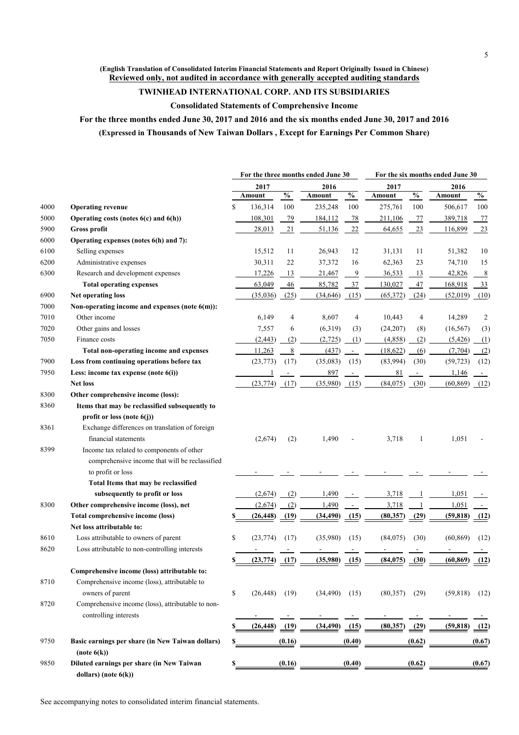### **(English Translation of Consolidated Interim Financial Statements and Report Originally Issued in Chinese) Reviewed only, not audited in accordance with generally accepted auditing standards**

# **TWINHEAD INTERNATIONAL CORP. AND ITS SUBSIDIARIES**

**Consolidated Statements of Comprehensive Income**

**For the three months ended June 30, 2017 and 2016 and the six months ended June 30, 2017 and 2016 (Expressed in Thousands of New Taiwan Dollars , Except for Earnings Per Common Share)**

|      |                                                   | For the three months ended June 30 |                   |               |           | For the six months ended June 30 |                 |                                    |           |        |
|------|---------------------------------------------------|------------------------------------|-------------------|---------------|-----------|----------------------------------|-----------------|------------------------------------|-----------|--------|
|      |                                                   | 2017                               |                   |               | 2016      |                                  | 2017            |                                    | 2016      |        |
|      |                                                   |                                    | Amount            | $\frac{0}{0}$ | Amount    | $\frac{1}{2}$                    | Amount          | $\mathbf{0}_{\mathbf{0}}^{\prime}$ | Amount    | $\%$   |
| 4000 | <b>Operating revenue</b>                          | \$                                 | 136,314           | 100           | 235,248   | 100                              | 275,761         | 100                                | 506,617   | 100    |
| 5000 | Operating costs (notes 6(c) and 6(h))             |                                    | 108,301           | 79            | 184,112   | 78                               | 211,106         | 77                                 | 389,718   | 77     |
| 5900 | Gross profit                                      |                                    | 28,013            | 21            | 51,136    | 22                               | 64,655          | 23                                 | 116,899   | 23     |
| 6000 | Operating expenses (notes 6(h) and 7):            |                                    |                   |               |           |                                  |                 |                                    |           |        |
| 6100 | Selling expenses                                  |                                    | 15,512            | 11            | 26,943    | 12                               | 31,131          | 11                                 | 51,382    | 10     |
| 6200 | Administrative expenses                           |                                    | 30,311            | 22            | 37,372    | 16                               | 62,363          | 23                                 | 74,710    | 15     |
| 6300 | Research and development expenses                 |                                    | 17,226            | 13            | 21,467    | $\overline{9}$                   | 36,533          | 13                                 | 42,826    | 8      |
|      | <b>Total operating expenses</b>                   |                                    | 63,049            | 46            | 85,782    | 37                               | 130,027         | 47                                 | 168,918   | 33     |
| 6900 | <b>Net operating loss</b>                         |                                    | (35,036)          | (25)          | (34, 646) | (15)                             | (65,372)        | (24)                               | (52, 019) | (10)   |
| 7000 | Non-operating income and expenses (note 6(m)):    |                                    |                   |               |           |                                  |                 |                                    |           |        |
| 7010 | Other income                                      |                                    | 6,149             | 4             | 8,607     | 4                                | 10,443          | 4                                  | 14,289    | 2      |
| 7020 | Other gains and losses                            |                                    | 7,557             | 6             | (6,319)   | (3)                              | (24,207)        | (8)                                | (16, 567) | (3)    |
| 7050 | Finance costs                                     |                                    | (2, 443)          | (2)           | (2,725)   | (1)                              | (4,858)         | (2)                                | (5, 426)  | (1)    |
|      | Total non-operating income and expenses           |                                    | 11,263            | 8             | (437)     | $\blacksquare$                   | (18, 622)       | (6)                                | (7, 704)  | (2)    |
| 7900 | Loss from continuing operations before tax        |                                    | (23, 773)         | (17)          | (35,083)  | (15)                             | (83,994)        | (30)                               | (59, 723) | (12)   |
| 7950 | Less: income tax expense (note 6(i))              |                                    |                   |               | 897       |                                  | 81              |                                    | 1,146     |        |
|      | <b>Net loss</b>                                   |                                    | (23, 774)         | (17)          | (35,980)  | (15)                             | (84,075)        | (30)                               | (60, 869) | (12)   |
| 8300 | Other comprehensive income (loss):                |                                    |                   |               |           |                                  |                 |                                    |           |        |
| 8360 | Items that may be reclassified subsequently to    |                                    |                   |               |           |                                  |                 |                                    |           |        |
|      | profit or loss (note $6(j)$ )                     |                                    |                   |               |           |                                  |                 |                                    |           |        |
| 8361 | Exchange differences on translation of foreign    |                                    |                   |               |           |                                  |                 |                                    |           |        |
|      | financial statements                              |                                    | (2,674)           | (2)           | 1,490     |                                  | 3,718           | 1                                  | 1,051     |        |
| 8399 | Income tax related to components of other         |                                    |                   |               |           |                                  |                 |                                    |           |        |
|      | comprehensive income that will be reclassified    |                                    |                   |               |           |                                  |                 |                                    |           |        |
|      | to profit or loss                                 |                                    |                   |               |           |                                  |                 |                                    |           |        |
|      | Total Items that may be reclassified              |                                    |                   |               |           |                                  |                 |                                    |           |        |
|      | subsequently to profit or loss                    |                                    | (2,674)           | (2)           | 1,490     |                                  | 3,718           |                                    | 1,051     |        |
| 8300 | Other comprehensive income (loss), net            |                                    | (2,674)           | (2)           | 1,490     |                                  | 3,718           |                                    | 1,051     |        |
|      | Total comprehensive income (loss)                 |                                    | (26, 448)         | (19)          | (34, 490) | (15)                             | (80, 357)       | (29)                               | (59, 818) | (12)   |
|      | Net loss attributable to:                         |                                    |                   |               |           |                                  |                 |                                    |           |        |
| 8610 | Loss attributable to owners of parent             | \$                                 | (23, 774)         | (17)          | (35,980)  | (15)                             | (84, 075)       | (30)                               | (60, 869) | (12)   |
| 8620 | Loss attributable to non-controlling interests    |                                    |                   |               |           |                                  |                 |                                    |           |        |
|      |                                                   | S.                                 | $(23,774)$ $(17)$ |               | (35,980)  | (15)                             | $(84,075)$ (30) |                                    | (60, 869) | (12)   |
|      | Comprehensive income (loss) attributable to:      |                                    |                   |               |           |                                  |                 |                                    |           |        |
| 8710 | Comprehensive income (loss), attributable to      |                                    |                   |               |           |                                  |                 |                                    |           |        |
|      | owners of parent                                  | \$                                 | (26, 448)         | (19)          | (34, 490) | (15)                             | (80,357)        | (29)                               | (59, 818) | (12)   |
| 8720 | Comprehensive income (loss), attributable to non- |                                    |                   |               |           |                                  |                 |                                    |           |        |
|      | controlling interests                             |                                    |                   |               |           |                                  |                 |                                    |           |        |
|      |                                                   |                                    | (26, 448)         | (19)          | (34, 490) | $\underline{(15)}$               | (80, 357)       | (29)                               | (59, 818) | (12)   |
| 9750 | Basic earnings per share (in New Taiwan dollars)  |                                    |                   | (0.16)        |           | (0.40)                           |                 | (0.62)                             |           | (0.67) |
|      | (note 6(k))                                       |                                    |                   |               |           |                                  |                 |                                    |           |        |
| 9850 | Diluted earnings per share (in New Taiwan         | \$                                 |                   | (0.16)        |           | (0.40)                           |                 | (0.62)                             |           | (0.67) |
|      | dollars) (note $6(k)$ )                           |                                    |                   |               |           |                                  |                 |                                    |           |        |

See accompanying notes to consolidated interim financial statements.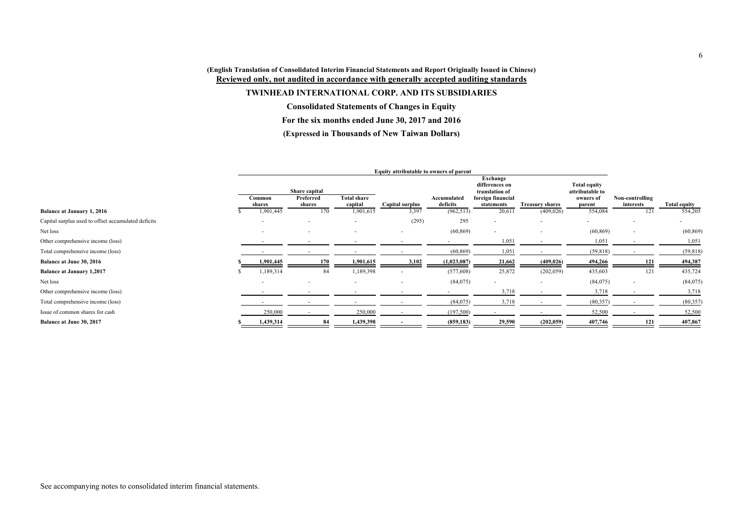### **(English Translation of Consolidated Interim Financial Statements and Report Originally Issued in Chinese) Reviewed only, not audited in accordance with generally accepted auditing standards**

### **TWINHEAD INTERNATIONAL CORP. AND ITS SUBSIDIARIES**

**Consolidated Statements of Changes in Equity**

**For the six months ended June 30, 2017 and 2016**

### **(Expressed in Thousands of New Taiwan Dollars)**

|                                                     | Equity attributable to owners of parent |               |                               |                          |                         |                                              |                                      |                                        |                  |                         |
|-----------------------------------------------------|-----------------------------------------|---------------|-------------------------------|--------------------------|-------------------------|----------------------------------------------|--------------------------------------|----------------------------------------|------------------|-------------------------|
|                                                     |                                         | Share capital |                               |                          |                         | Exchange<br>differences on<br>translation of |                                      | <b>Total equity</b><br>attributable to |                  |                         |
|                                                     | Common                                  | Preferred     | <b>Total share</b><br>capital |                          | Accumulated<br>deficits | foreign financial                            |                                      | owners of                              | Non-controlling  |                         |
| <b>Balance at January 1, 2016</b>                   | shares<br>1,901,445                     | shares<br>170 | 1,901,615                     | Capital surplus<br>3,397 | (962, 513)              | statements<br>20,61                          | <b>Treasury shares</b><br>(409, 026) | parent<br>554,084                      | interests<br>121 | Total equity<br>554,205 |
| Capital surplus used to offset accumulated deficits |                                         | $\sim$        |                               | (295)                    | 295                     | $\overline{\phantom{a}}$                     | $\overline{\phantom{a}}$             | ۰.                                     |                  | $\sim$                  |
| Net loss                                            | $\sim$                                  | $\sim$        |                               | $\sim$                   | (60, 869)               | $\sim$                                       | $\overline{\phantom{a}}$             | (60, 869)                              |                  | (60, 869)               |
| Other comprehensive income (loss)                   |                                         |               |                               |                          |                         | 1,051                                        |                                      | 1,051                                  |                  | 1,051                   |
| Total comprehensive income (loss)                   |                                         |               |                               |                          | (60, 869)               | 1,051                                        |                                      | (59, 818)                              |                  | (59, 818)               |
| <b>Balance at June 30, 2016</b>                     | 1,901,445                               | 170           | 1,901,615                     | 3,102                    | (1,023,087)             | 21,662                                       | (409, 026)                           | 494,266                                | 121              | 494,387                 |
| <b>Balance at January 1,2017</b>                    | 1,189,314                               | 84            | 1,189,398                     |                          | (577,608)               | 25,872                                       | (202, 059)                           | 435,603                                | 121              | 435,724                 |
| Net loss                                            | $\sim$                                  | $\sim$        | $\overline{\phantom{0}}$      | $\sim$                   | (84,075)                | $\sim$                                       | $\overline{\phantom{a}}$             | (84, 075)                              |                  | (84,075)                |
| Other comprehensive income (loss)                   |                                         |               |                               |                          |                         | 3,718                                        |                                      | 3,718                                  |                  | 3,718                   |
| Total comprehensive income (loss)                   |                                         |               |                               |                          | (84,075)                | 3,718                                        |                                      | (80, 357)                              |                  | (80, 357)               |
| Issue of common shares for cash                     | 250,000                                 |               | 250,000                       |                          | (197,500)               |                                              |                                      | 52,500                                 |                  | 52,500                  |
| Balance at June 30, 2017                            | 1,439,314                               | 84            | 1,439,398                     |                          | (859, 183)              | 29,590                                       | (202, 059)                           | 407,746                                | 121              | 407,867                 |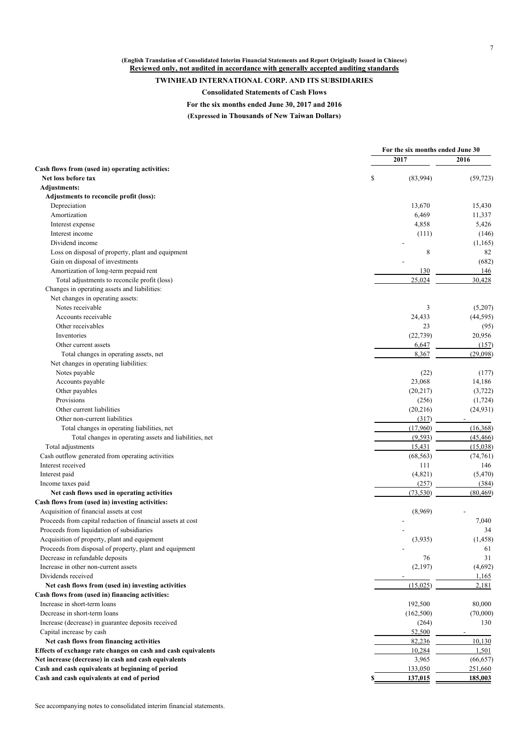**(English Translation of Consolidated Interim Financial Statements and Report Originally Issued in Chinese) Reviewed only, not audited in accordance with generally accepted auditing standards**

### **TWINHEAD INTERNATIONAL CORP. AND ITS SUBSIDIARIES**

**Consolidated Statements of Cash Flows**

**For the six months ended June 30, 2017 and 2016**

**(Expressed in Thousands of New Taiwan Dollars)**

|                                                               | For the six months ended June 30 |           |
|---------------------------------------------------------------|----------------------------------|-----------|
|                                                               | 2017                             | 2016      |
| Cash flows from (used in) operating activities:               |                                  |           |
| Net loss before tax                                           | \$<br>(83,994)                   | (59, 723) |
| <b>Adjustments:</b>                                           |                                  |           |
| Adjustments to reconcile profit (loss):                       |                                  |           |
| Depreciation                                                  | 13,670                           | 15,430    |
| Amortization                                                  | 6,469                            | 11,337    |
| Interest expense                                              | 4,858                            | 5,426     |
| Interest income                                               | (111)                            | (146)     |
| Dividend income                                               |                                  | (1,165)   |
| Loss on disposal of property, plant and equipment             | 8                                | 82        |
| Gain on disposal of investments                               |                                  | (682)     |
| Amortization of long-term prepaid rent                        | 130                              | 146       |
| Total adjustments to reconcile profit (loss)                  | 25,024                           | 30,428    |
| Changes in operating assets and liabilities:                  |                                  |           |
| Net changes in operating assets:                              |                                  |           |
| Notes receivable                                              | 3                                | (5,207)   |
| Accounts receivable                                           | 24,433                           | (44, 595) |
| Other receivables                                             | 23                               | (95)      |
| Inventories                                                   | (22, 739)                        | 20,956    |
| Other current assets                                          | 6,647                            | (157)     |
| Total changes in operating assets, net                        | 8,367                            | (29,098)  |
| Net changes in operating liabilities:                         |                                  |           |
| Notes payable                                                 | (22)                             | (177)     |
| Accounts payable                                              | 23,068                           | 14,186    |
|                                                               |                                  |           |
| Other payables                                                | (20,217)                         | (3,722)   |
| Provisions                                                    | (256)                            | (1, 724)  |
| Other current liabilities                                     | (20,216)                         | (24, 931) |
| Other non-current liabilities                                 | (317)                            |           |
| Total changes in operating liabilities, net                   | (17,960)                         | (16, 368) |
| Total changes in operating assets and liabilities, net        | (9,593)                          | (45, 466) |
| Total adjustments                                             | 15,431                           | (15,038)  |
| Cash outflow generated from operating activities              | (68, 563)                        | (74, 761) |
| Interest received                                             | 111                              | 146       |
| Interest paid                                                 | (4,821)                          | (5, 470)  |
| Income taxes paid                                             | (257)                            | (384)     |
| Net cash flows used in operating activities                   | (73, 530)                        | (80, 469) |
| Cash flows from (used in) investing activities:               |                                  |           |
| Acquisition of financial assets at cost                       | (8,969)                          |           |
| Proceeds from capital reduction of financial assets at cost   |                                  | 7,040     |
| Proceeds from liquidation of subsidiaries                     |                                  | 34        |
| Acquisition of property, plant and equipment                  | (3,935)                          | (1, 458)  |
| Proceeds from disposal of property, plant and equipment       |                                  | 61        |
| Decrease in refundable deposits                               | 76                               | 31        |
| Increase in other non-current assets                          | (2,197)                          | (4,692)   |
| Dividends received                                            |                                  | 1,165     |
| Net cash flows from (used in) investing activities            | (15,025)                         | 2,181     |
| Cash flows from (used in) financing activities:               |                                  |           |
| Increase in short-term loans                                  | 192,500                          | 80,000    |
| Decrease in short-term loans                                  | (162, 500)                       | (70,000)  |
| Increase (decrease) in guarantee deposits received            | (264)                            | 130       |
| Capital increase by cash                                      | 52,500                           |           |
| Net cash flows from financing activities                      | 82,236                           | 10,130    |
| Effects of exchange rate changes on cash and cash equivalents | 10,284                           | 1,501     |
| Net increase (decrease) in cash and cash equivalents          | 3,965                            | (66, 657) |
| Cash and cash equivalents at beginning of period              | 133,050                          | 251,660   |
| Cash and cash equivalents at end of period                    | 137,015                          | 185,003   |
|                                                               |                                  |           |

See accompanying notes to consolidated interim financial statements.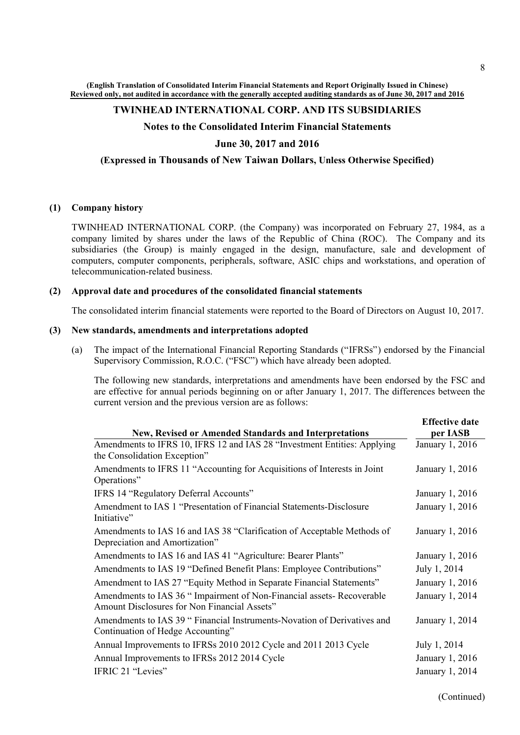**(English Translation of Consolidated Interim Financial Statements and Report Originally Issued in Chinese) Reviewed only, not audited in accordance with the generally accepted auditing standards as of June 30, 2017 and 2016**

#### **TWINHEAD INTERNATIONAL CORP. AND ITS SUBSIDIARIES**

#### **Notes to the Consolidated Interim Financial Statements**

#### **June 30, 2017 and 2016**

#### **(Expressed in Thousands of New Taiwan Dollars, Unless Otherwise Specified)**

#### **(1) Company history**

TWINHEAD INTERNATIONAL CORP. (the Company) was incorporated on February 27, 1984, as a company limited by shares under the laws of the Republic of China (ROC). The Company and its subsidiaries (the Group) is mainly engaged in the design, manufacture, sale and development of computers, computer components, peripherals, software, ASIC chips and workstations, and operation of telecommunication-related business.

#### **(2) Approval date and procedures of the consolidated financial statements**

The consolidated interim financial statements were reported to the Board of Directors on August 10, 2017.

#### **(3) New standards, amendments and interpretations adopted**

(a) The impact of the International Financial Reporting Standards ("IFRSs") endorsed by the Financial Supervisory Commission, R.O.C. ("FSC") which have already been adopted.

The following new standards, interpretations and amendments have been endorsed by the FSC and are effective for annual periods beginning on or after January 1, 2017. The differences between the current version and the previous version are as follows:

|                                                                                                                        | <b>Effective date</b> |
|------------------------------------------------------------------------------------------------------------------------|-----------------------|
| New, Revised or Amended Standards and Interpretations                                                                  | per IASB              |
| Amendments to IFRS 10, IFRS 12 and IAS 28 "Investment Entities: Applying<br>the Consolidation Exception"               | January 1, 2016       |
| Amendments to IFRS 11 "Accounting for Acquisitions of Interests in Joint<br>Operations"                                | January 1, 2016       |
| IFRS 14 "Regulatory Deferral Accounts"                                                                                 | January 1, 2016       |
| Amendment to IAS 1 "Presentation of Financial Statements-Disclosure<br>Initiative"                                     | January 1, 2016       |
| Amendments to IAS 16 and IAS 38 "Clarification of Acceptable Methods of<br>Depreciation and Amortization"              | January 1, 2016       |
| Amendments to IAS 16 and IAS 41 "Agriculture: Bearer Plants"                                                           | January 1, 2016       |
| Amendments to IAS 19 "Defined Benefit Plans: Employee Contributions"                                                   | July 1, 2014          |
| Amendment to IAS 27 "Equity Method in Separate Financial Statements"                                                   | January 1, 2016       |
| Amendments to IAS 36 " Impairment of Non-Financial assets- Recoverable<br>Amount Disclosures for Non Financial Assets" | January 1, 2014       |
| Amendments to IAS 39 " Financial Instruments-Novation of Derivatives and<br>Continuation of Hedge Accounting"          | January 1, 2014       |
| Annual Improvements to IFRSs 2010 2012 Cycle and 2011 2013 Cycle                                                       | July 1, 2014          |
| Annual Improvements to IFRSs 2012 2014 Cycle                                                                           | January 1, 2016       |
| IFRIC 21 "Levies"                                                                                                      | January 1, 2014       |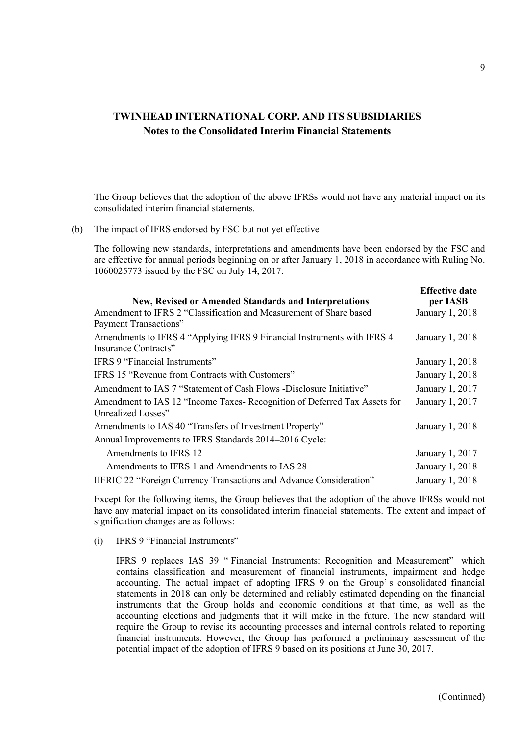The Group believes that the adoption of the above IFRSs would not have any material impact on its consolidated interim financial statements.

(b) The impact of IFRS endorsed by FSC but not yet effective

The following new standards, interpretations and amendments have been endorsed by the FSC and are effective for annual periods beginning on or after January 1, 2018 in accordance with Ruling No. 1060025773 issued by the FSC on July 14, 2017:

|                                                                            | <b>Effective date</b> |
|----------------------------------------------------------------------------|-----------------------|
| New, Revised or Amended Standards and Interpretations                      | per IASB              |
| Amendment to IFRS 2 "Classification and Measurement of Share based         | January 1, 2018       |
| Payment Transactions"                                                      |                       |
| Amendments to IFRS 4 "Applying IFRS 9 Financial Instruments with IFRS 4    | January 1, 2018       |
| Insurance Contracts"                                                       |                       |
| IFRS 9 "Financial Instruments"                                             | January 1, 2018       |
| IFRS 15 "Revenue from Contracts with Customers"                            | January 1, 2018       |
| Amendment to IAS 7 "Statement of Cash Flows -Disclosure Initiative"        | January 1, 2017       |
| Amendment to IAS 12 "Income Taxes- Recognition of Deferred Tax Assets for  | January 1, 2017       |
| Unrealized Losses"                                                         |                       |
| Amendments to IAS 40 "Transfers of Investment Property"                    | January 1, 2018       |
| Annual Improvements to IFRS Standards 2014–2016 Cycle:                     |                       |
| Amendments to IFRS 12                                                      | January 1, 2017       |
| Amendments to IFRS 1 and Amendments to IAS 28                              | January 1, 2018       |
| <b>IIFRIC 22 "Foreign Currency Transactions and Advance Consideration"</b> | January 1, 2018       |

Except for the following items, the Group believes that the adoption of the above IFRSs would not have any material impact on its consolidated interim financial statements. The extent and impact of signification changes are as follows:

(i) IFRS 9 "Financial Instruments"

IFRS 9 replaces IAS 39 " Financial Instruments: Recognition and Measurement" which contains classification and measurement of financial instruments, impairment and hedge accounting. The actual impact of adopting IFRS 9 on the Group' s consolidated financial statements in 2018 can only be determined and reliably estimated depending on the financial instruments that the Group holds and economic conditions at that time, as well as the accounting elections and judgments that it will make in the future. The new standard will require the Group to revise its accounting processes and internal controls related to reporting financial instruments. However, the Group has performed a preliminary assessment of the potential impact of the adoption of IFRS 9 based on its positions at June 30, 2017.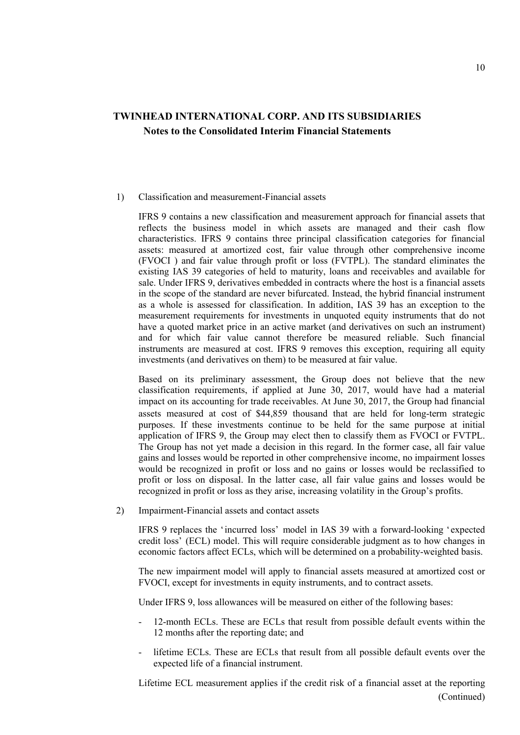#### 1) Classification and measurement-Financial assets

IFRS 9 contains a new classification and measurement approach for financial assets that reflects the business model in which assets are managed and their cash flow characteristics. IFRS 9 contains three principal classification categories for financial assets: measured at amortized cost, fair value through other comprehensive income (FVOCI ) and fair value through profit or loss (FVTPL). The standard eliminates the existing IAS 39 categories of held to maturity, loans and receivables and available for sale. Under IFRS 9, derivatives embedded in contracts where the host is a financial assets in the scope of the standard are never bifurcated. Instead, the hybrid financial instrument as a whole is assessed for classification. In addition, IAS 39 has an exception to the measurement requirements for investments in unquoted equity instruments that do not have a quoted market price in an active market (and derivatives on such an instrument) and for which fair value cannot therefore be measured reliable. Such financial instruments are measured at cost. IFRS 9 removes this exception, requiring all equity investments (and derivatives on them) to be measured at fair value.

Based on its preliminary assessment, the Group does not believe that the new classification requirements, if applied at June 30, 2017, would have had a material impact on its accounting for trade receivables. At June 30, 2017, the Group had financial assets measured at cost of \$44,859 thousand that are held for long-term strategic purposes. If these investments continue to be held for the same purpose at initial application of IFRS 9, the Group may elect then to classify them as FVOCI or FVTPL. The Group has not yet made a decision in this regard. In the former case, all fair value gains and losses would be reported in other comprehensive income, no impairment losses would be recognized in profit or loss and no gains or losses would be reclassified to profit or loss on disposal. In the latter case, all fair value gains and losses would be recognized in profit or loss as they arise, increasing volatility in the Group's profits.

2) Impairment-Financial assets and contact assets

IFRS 9 replaces the 'incurred loss' model in IAS 39 with a forward-looking 'expected credit loss' (ECL) model. This will require considerable judgment as to how changes in economic factors affect ECLs, which will be determined on a probability-weighted basis.

The new impairment model will apply to financial assets measured at amortized cost or FVOCI, except for investments in equity instruments, and to contract assets.

Under IFRS 9, loss allowances will be measured on either of the following bases:

- 12-month ECLs. These are ECLs that result from possible default events within the 12 months after the reporting date; and
- lifetime ECLs. These are ECLs that result from all possible default events over the expected life of a financial instrument.

Lifetime ECL measurement applies if the credit risk of a financial asset at the reporting (Continued)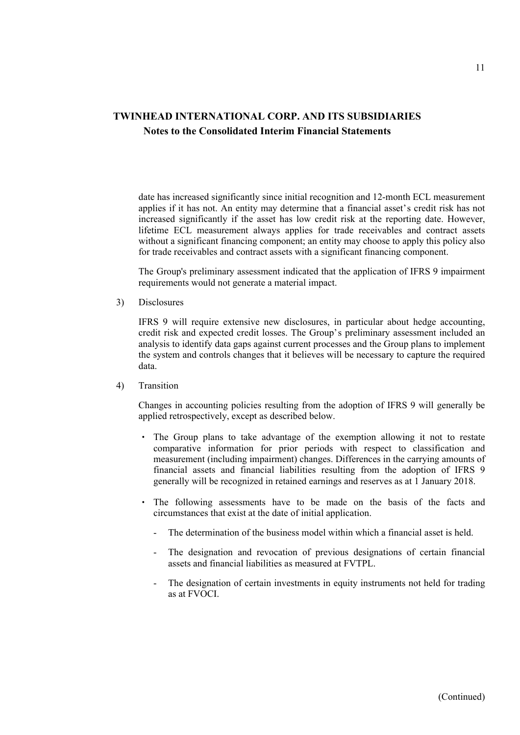date has increased significantly since initial recognition and 12-month ECL measurement applies if it has not. An entity may determine that a financial asset's credit risk has not increased significantly if the asset has low credit risk at the reporting date. However, lifetime ECL measurement always applies for trade receivables and contract assets without a significant financing component; an entity may choose to apply this policy also for trade receivables and contract assets with a significant financing component.

The Group's preliminary assessment indicated that the application of IFRS 9 impairment requirements would not generate a material impact.

3) Disclosures

IFRS 9 will require extensive new disclosures, in particular about hedge accounting, credit risk and expected credit losses. The Group's preliminary assessment included an analysis to identify data gaps against current processes and the Group plans to implement the system and controls changes that it believes will be necessary to capture the required data.

4) Transition

Changes in accounting policies resulting from the adoption of IFRS 9 will generally be applied retrospectively, except as described below.

- The Group plans to take advantage of the exemption allowing it not to restate comparative information for prior periods with respect to classification and measurement (including impairment) changes. Differences in the carrying amounts of financial assets and financial liabilities resulting from the adoption of IFRS 9 generally will be recognized in retained earnings and reserves as at 1 January 2018.
- The following assessments have to be made on the basis of the facts and circumstances that exist at the date of initial application.
	- The determination of the business model within which a financial asset is held.
	- The designation and revocation of previous designations of certain financial assets and financial liabilities as measured at FVTPL.
	- The designation of certain investments in equity instruments not held for trading as at FVOCI.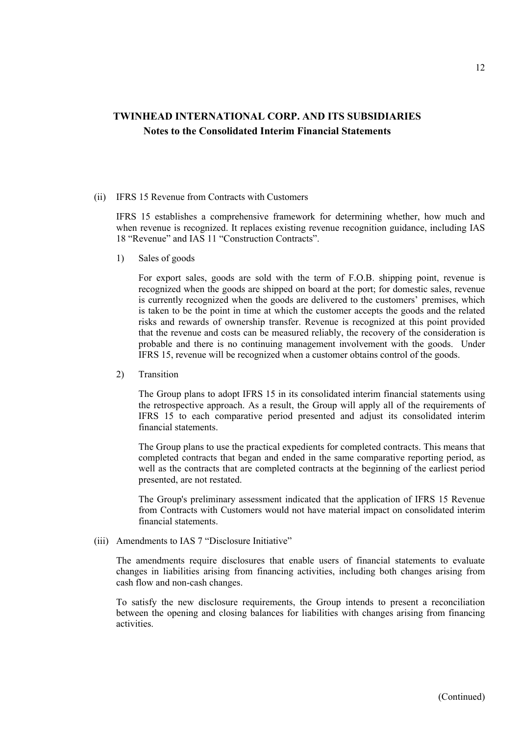#### (ii) IFRS 15 Revenue from Contracts with Customers

IFRS 15 establishes a comprehensive framework for determining whether, how much and when revenue is recognized. It replaces existing revenue recognition guidance, including IAS 18 "Revenue" and IAS 11 "Construction Contracts".

1) Sales of goods

For export sales, goods are sold with the term of F.O.B. shipping point, revenue is recognized when the goods are shipped on board at the port; for domestic sales, revenue is currently recognized when the goods are delivered to the customers' premises, which is taken to be the point in time at which the customer accepts the goods and the related risks and rewards of ownership transfer. Revenue is recognized at this point provided that the revenue and costs can be measured reliably, the recovery of the consideration is probable and there is no continuing management involvement with the goods. Under IFRS 15, revenue will be recognized when a customer obtains control of the goods.

2) Transition

The Group plans to adopt IFRS 15 in its consolidated interim financial statements using the retrospective approach. As a result, the Group will apply all of the requirements of IFRS 15 to each comparative period presented and adjust its consolidated interim financial statements.

The Group plans to use the practical expedients for completed contracts. This means that completed contracts that began and ended in the same comparative reporting period, as well as the contracts that are completed contracts at the beginning of the earliest period presented, are not restated.

The Group's preliminary assessment indicated that the application of IFRS 15 Revenue from Contracts with Customers would not have material impact on consolidated interim financial statements.

(iii) Amendments to IAS 7 "Disclosure Initiative"

The amendments require disclosures that enable users of financial statements to evaluate changes in liabilities arising from financing activities, including both changes arising from cash flow and non-cash changes.

To satisfy the new disclosure requirements, the Group intends to present a reconciliation between the opening and closing balances for liabilities with changes arising from financing activities.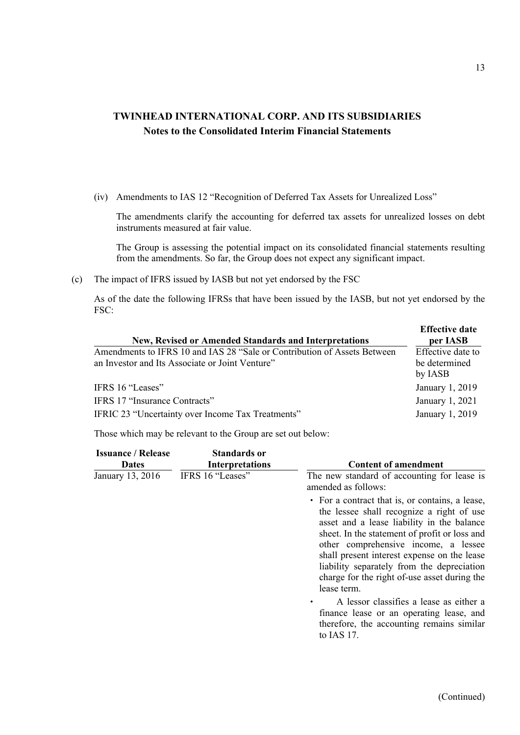(iv) Amendments to IAS 12 "Recognition of Deferred Tax Assets for Unrealized Loss"

The amendments clarify the accounting for deferred tax assets for unrealized losses on debt instruments measured at fair value.

The Group is assessing the potential impact on its consolidated financial statements resulting from the amendments. So far, the Group does not expect any significant impact.

(c) The impact of IFRS issued by IASB but not yet endorsed by the FSC

As of the date the following IFRSs that have been issued by the IASB, but not yet endorsed by the FSC:

| New, Revised or Amended Standards and Interpretations                    | <b>Effective date</b><br>per IASB |
|--------------------------------------------------------------------------|-----------------------------------|
| Amendments to IFRS 10 and IAS 28 "Sale or Contribution of Assets Between | Effective date to                 |
| an Investor and Its Associate or Joint Venture"                          | be determined                     |
|                                                                          | by IASB                           |
| IFRS 16 "Leases"                                                         | January 1, 2019                   |
| IFRS 17 "Insurance Contracts"                                            | January 1, 2021                   |
| IFRIC 23 "Uncertainty over Income Tax Treatments"                        | January 1, 2019                   |

Those which may be relevant to the Group are set out below:

| <b>Issuance / Release</b> | <b>Standards or</b>    |                                                                                                                                                                                                                                                                                                                                                                                                 |
|---------------------------|------------------------|-------------------------------------------------------------------------------------------------------------------------------------------------------------------------------------------------------------------------------------------------------------------------------------------------------------------------------------------------------------------------------------------------|
| <b>Dates</b>              | <b>Interpretations</b> | <b>Content of amendment</b>                                                                                                                                                                                                                                                                                                                                                                     |
| January 13, 2016          | IFRS 16 "Leases"       | The new standard of accounting for lease is<br>amended as follows:                                                                                                                                                                                                                                                                                                                              |
|                           |                        | • For a contract that is, or contains, a lease,<br>the lessee shall recognize a right of use<br>asset and a lease liability in the balance<br>sheet. In the statement of profit or loss and<br>other comprehensive income, a lessee<br>shall present interest expense on the lease<br>liability separately from the depreciation<br>charge for the right of-use asset during the<br>lease term. |
|                           |                        | A lessor classifies a lease as either a<br>finance lease or an operating lease, and<br>therefore, the accounting remains similar<br>to IAS 17.                                                                                                                                                                                                                                                  |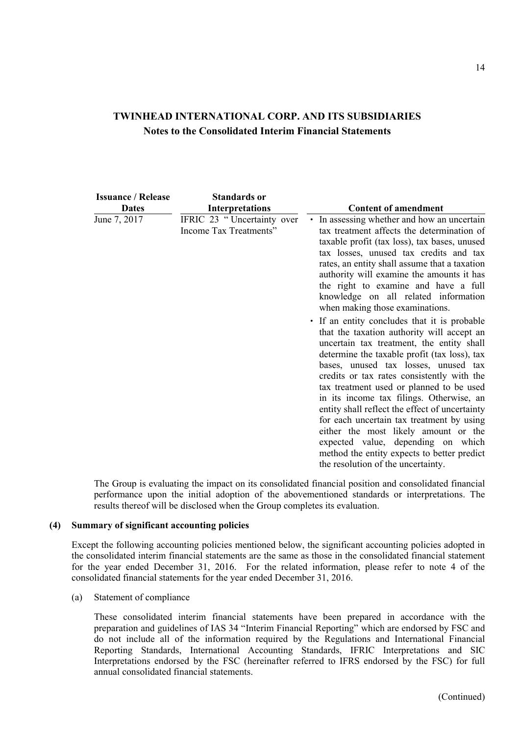| <b>Issuance / Release</b> | <b>Standards or</b>                                  |                                                                                                                                                                                                                                                                                                                                                                                                                                                                                                                                                                                                                                         |
|---------------------------|------------------------------------------------------|-----------------------------------------------------------------------------------------------------------------------------------------------------------------------------------------------------------------------------------------------------------------------------------------------------------------------------------------------------------------------------------------------------------------------------------------------------------------------------------------------------------------------------------------------------------------------------------------------------------------------------------------|
| <b>Dates</b>              | <b>Interpretations</b>                               | <b>Content of amendment</b>                                                                                                                                                                                                                                                                                                                                                                                                                                                                                                                                                                                                             |
| June 7, 2017              | IFRIC 23 "Uncertainty over<br>Income Tax Treatments" | • In assessing whether and how an uncertain<br>tax treatment affects the determination of<br>taxable profit (tax loss), tax bases, unused<br>tax losses, unused tax credits and tax<br>rates, an entity shall assume that a taxation<br>authority will examine the amounts it has<br>the right to examine and have a full<br>knowledge on all related information<br>when making those examinations.                                                                                                                                                                                                                                    |
|                           |                                                      | • If an entity concludes that it is probable<br>that the taxation authority will accept an<br>uncertain tax treatment, the entity shall<br>determine the taxable profit (tax loss), tax<br>bases, unused tax losses, unused tax<br>credits or tax rates consistently with the<br>tax treatment used or planned to be used<br>in its income tax filings. Otherwise, an<br>entity shall reflect the effect of uncertainty<br>for each uncertain tax treatment by using<br>either the most likely amount or the<br>expected value, depending on which<br>method the entity expects to better predict<br>the resolution of the uncertainty. |

The Group is evaluating the impact on its consolidated financial position and consolidated financial performance upon the initial adoption of the abovementioned standards or interpretations. The results thereof will be disclosed when the Group completes its evaluation.

#### **(4) Summary of significant accounting policies**

Except the following accounting policies mentioned below, the significant accounting policies adopted in the consolidated interim financial statements are the same as those in the consolidated financial statement for the year ended December 31, 2016. For the related information, please refer to note 4 of the consolidated financial statements for the year ended December 31, 2016.

(a) Statement of compliance

These consolidated interim financial statements have been prepared in accordance with the preparation and guidelines of IAS 34 "Interim Financial Reporting" which are endorsed by FSC and do not include all of the information required by the Regulations and International Financial Reporting Standards, International Accounting Standards, IFRIC Interpretations and SIC Interpretations endorsed by the FSC (hereinafter referred to IFRS endorsed by the FSC) for full annual consolidated financial statements.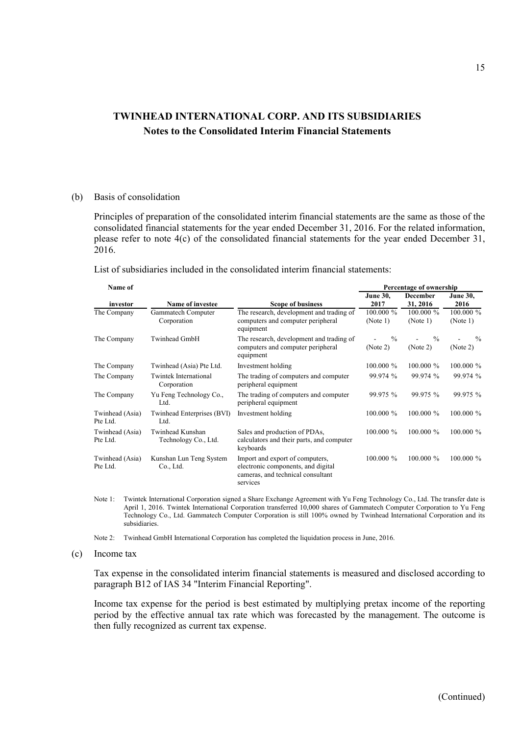#### (b) Basis of consolidation

Principles of preparation of the consolidated interim financial statements are the same as those of the consolidated financial statements for the year ended December 31, 2016. For the related information, please refer to note 4(c) of the consolidated financial statements for the year ended December 31, 2016.

List of subsidiaries included in the consolidated interim financial statements:

| Name of                     |                                          |                                                                                                                        | Percentage of ownership   |                             |                          |  |  |  |  |
|-----------------------------|------------------------------------------|------------------------------------------------------------------------------------------------------------------------|---------------------------|-----------------------------|--------------------------|--|--|--|--|
| investor                    | <b>Name of investee</b>                  | <b>Scope of business</b>                                                                                               | <b>June 30,</b><br>2017   | <b>December</b><br>31, 2016 | <b>June 30,</b><br>2016  |  |  |  |  |
| The Company                 | Gammatech Computer<br>Corporation        | The research, development and trading of<br>computers and computer peripheral<br>equipment                             | $100.000 \%$<br>(Note 1)  | $100.000 \%$<br>(Note 1)    | $100.000 \%$<br>(Note 1) |  |  |  |  |
| The Company                 | Twinhead GmbH                            | The research, development and trading of<br>computers and computer peripheral<br>equipment                             | $\frac{0}{0}$<br>(Note 2) | $\frac{0}{0}$<br>(Note 2)   | $\%$<br>(Note 2)         |  |  |  |  |
| The Company                 | Twinhead (Asia) Pte Ltd.                 | Investment holding                                                                                                     | $100.000 \%$              | $100.000 \%$                | $100.000 \%$             |  |  |  |  |
| The Company                 | Twintek International<br>Corporation     | The trading of computers and computer<br>peripheral equipment                                                          | 99.974 %                  | 99.974 %                    | 99.974 %                 |  |  |  |  |
| The Company                 | Yu Feng Technology Co.,<br>Ltd.          | The trading of computers and computer<br>peripheral equipment                                                          | 99.975 %                  | 99.975 %                    | 99.975 %                 |  |  |  |  |
| Twinhead (Asia)<br>Pte Ltd. | Twinhead Enterprises (BVI)<br>Ltd.       | Investment holding                                                                                                     | $100.000 \%$              | $100.000 \%$                | $100.000 \%$             |  |  |  |  |
| Twinhead (Asia)<br>Pte Ltd. | Twinhead Kunshan<br>Technology Co., Ltd. | Sales and production of PDAs,<br>calculators and their parts, and computer<br>keyboards                                | $100.000\%$               | $100.000 \%$                | $100.000 \%$             |  |  |  |  |
| Twinhead (Asia)<br>Pte Ltd. | Kunshan Lun Teng System<br>Co., Ltd.     | Import and export of computers,<br>electronic components, and digital<br>cameras, and technical consultant<br>services | $100.000\%$               | $100.000 \%$                | $100.000 \%$             |  |  |  |  |

Note 1: Twintek International Corporation signed a Share Exchange Agreement with Yu Feng Technology Co., Ltd. The transfer date is April 1, 2016. Twintek International Corporation transferred 10,000 shares of Gammatech Computer Corporation to Yu Feng Technology Co., Ltd. Gammatech Computer Corporation is still 100% owned by Twinhead International Corporation and its subsidiaries.

Note 2: Twinhead GmbH International Corporation has completed the liquidation process in June, 2016.

#### (c) Income tax

Tax expense in the consolidated interim financial statements is measured and disclosed according to paragraph B12 of IAS 34 "Interim Financial Reporting".

Income tax expense for the period is best estimated by multiplying pretax income of the reporting period by the effective annual tax rate which was forecasted by the management. The outcome is then fully recognized as current tax expense.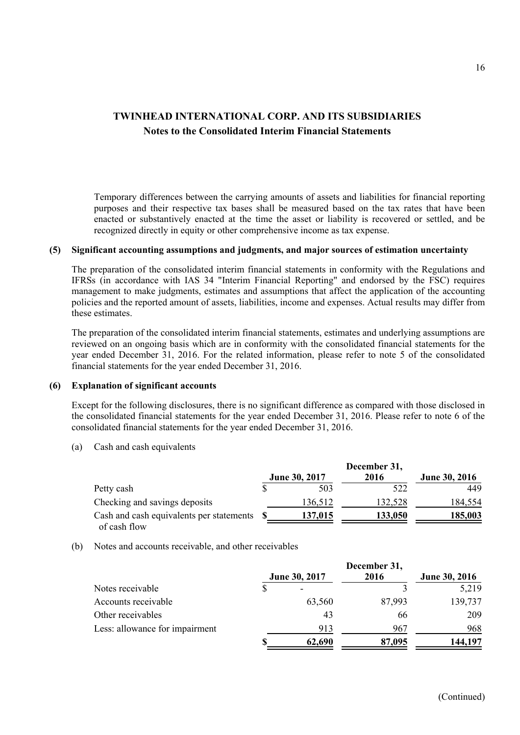Temporary differences between the carrying amounts of assets and liabilities for financial reporting purposes and their respective tax bases shall be measured based on the tax rates that have been enacted or substantively enacted at the time the asset or liability is recovered or settled, and be recognized directly in equity or other comprehensive income as tax expense.

#### **(5) Significant accounting assumptions and judgments, and major sources of estimation uncertainty**

The preparation of the consolidated interim financial statements in conformity with the Regulations and IFRSs (in accordance with IAS 34 "Interim Financial Reporting" and endorsed by the FSC) requires management to make judgments, estimates and assumptions that affect the application of the accounting policies and the reported amount of assets, liabilities, income and expenses. Actual results may differ from these estimates.

The preparation of the consolidated interim financial statements, estimates and underlying assumptions are reviewed on an ongoing basis which are in conformity with the consolidated financial statements for the year ended December 31, 2016. For the related information, please refer to note 5 of the consolidated financial statements for the year ended December 31, 2016.

#### **(6) Explanation of significant accounts**

Except for the following disclosures, there is no significant difference as compared with those disclosed in the consolidated financial statements for the year ended December 31, 2016. Please refer to note 6 of the consolidated financial statements for the year ended December 31, 2016.

(a) Cash and cash equivalents

| December 31, |                                          |               |               |  |
|--------------|------------------------------------------|---------------|---------------|--|
|              |                                          | 2016          | June 30, 2016 |  |
|              | 503                                      | 522           | 449           |  |
|              | 136,512                                  | 132,528       | 184,554       |  |
|              | 137,015                                  | 133,050       | 185,003       |  |
|              | Cash and cash equivalents per statements | June 30, 2017 |               |  |

(b) Notes and accounts receivable, and other receivables

|                                | December 31, |               |        |                      |  |
|--------------------------------|--------------|---------------|--------|----------------------|--|
|                                |              | June 30, 2017 | 2016   | <b>June 30, 2016</b> |  |
| Notes receivable               |              |               |        | 5,219                |  |
| Accounts receivable            |              | 63,560        | 87,993 | 139,737              |  |
| Other receivables              |              | 43            | 66     | 209                  |  |
| Less: allowance for impairment |              | 913           | 967    | 968                  |  |
|                                |              | 62,690        | 87,095 | 144,197              |  |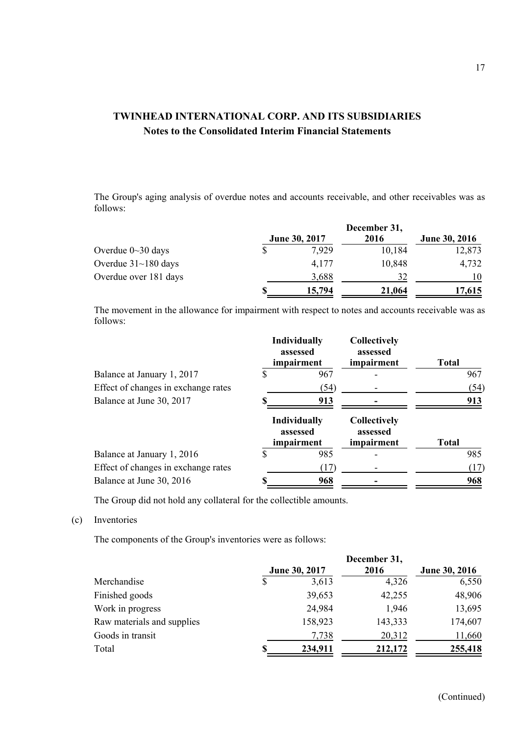The Group's aging analysis of overdue notes and accounts receivable, and other receivables was as follows:

|                            | December 31, |               |        |                      |
|----------------------------|--------------|---------------|--------|----------------------|
|                            |              | June 30, 2017 | 2016   | <b>June 30, 2016</b> |
| Overdue $0 \sim 30$ days   |              | 7.929         | 10,184 | 12,873               |
| Overdue $31 \sim 180$ days |              | 4,177         | 10,848 | 4,732                |
| Overdue over 181 days      |              | 3,688         | 32     | 10                   |
|                            |              | 15,794        | 21,064 | 17,615               |

The movement in the allowance for impairment with respect to notes and accounts receivable was as follows:

|                                     |   | <b>Individually</b><br>assessed<br>impairment | Collectively<br>assessed<br>impairment        | <b>Total</b> |
|-------------------------------------|---|-----------------------------------------------|-----------------------------------------------|--------------|
| Balance at January 1, 2017          | S | 967                                           |                                               | 967          |
| Effect of changes in exchange rates |   | (54)                                          |                                               | (54)         |
| Balance at June 30, 2017            |   | 913                                           |                                               | 913          |
|                                     |   | <b>Individually</b><br>assessed<br>impairment | <b>Collectively</b><br>assessed<br>impairment | <b>Total</b> |
| Balance at January 1, 2016          |   | 985                                           |                                               | 985          |
| Effect of changes in exchange rates |   | (17)                                          |                                               | (17)         |
| Balance at June 30, 2016            |   | 968                                           |                                               | 968          |

The Group did not hold any collateral for the collectible amounts.

(c) Inventories

The components of the Group's inventories were as follows:

|                            | December 31,  |         |         |               |  |
|----------------------------|---------------|---------|---------|---------------|--|
|                            | June 30, 2017 |         | 2016    | June 30, 2016 |  |
| Merchandise                | S             | 3,613   | 4,326   | 6,550         |  |
| Finished goods             |               | 39,653  | 42,255  | 48,906        |  |
| Work in progress           |               | 24,984  | 1,946   | 13,695        |  |
| Raw materials and supplies |               | 158,923 | 143,333 | 174,607       |  |
| Goods in transit           |               | 7,738   | 20,312  | 11,660        |  |
| Total                      | S             | 234,911 | 212,172 | 255,418       |  |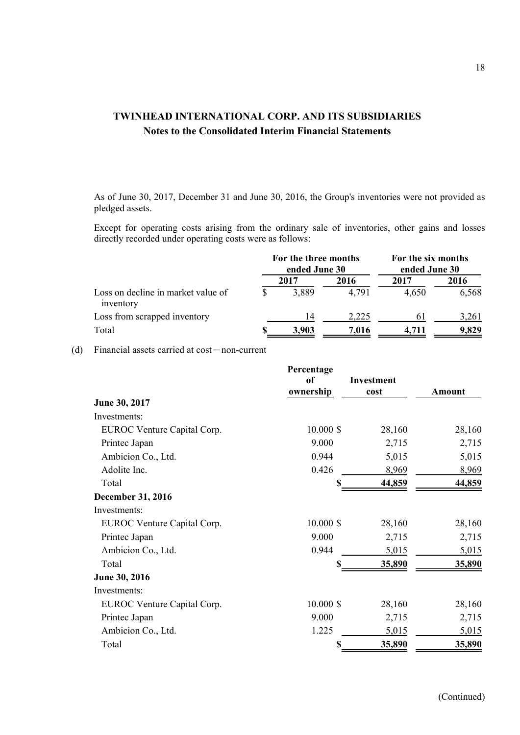As of June 30, 2017, December 31 and June 30, 2016, the Group's inventories were not provided as pledged assets.

Except for operating costs arising from the ordinary sale of inventories, other gains and losses directly recorded under operating costs were as follows:

|                                                 | For the three months<br>ended June 30 |       | For the six months<br>ended June 30 |       |       |
|-------------------------------------------------|---------------------------------------|-------|-------------------------------------|-------|-------|
|                                                 |                                       | 2017  | 2016                                | 2017  | 2016  |
| Loss on decline in market value of<br>inventory |                                       | 3,889 | 4,791                               | 4,650 | 6,568 |
| Loss from scrapped inventory                    |                                       | 14    | 2.225                               | 6 I   | 3,261 |
| Total                                           |                                       | 3.903 | 7.016                               | 4.711 | 9,829 |

(d) Financial assets carried at  $cost$ -non-current

|                             | Percentage  |                   |        |
|-----------------------------|-------------|-------------------|--------|
|                             | of          | <b>Investment</b> |        |
|                             | ownership   | cost              | Amount |
| June 30, 2017               |             |                   |        |
| Investments:                |             |                   |        |
| EUROC Venture Capital Corp. | $10.000$ \$ | 28,160            | 28,160 |
| Printec Japan               | 9.000       | 2,715             | 2,715  |
| Ambicion Co., Ltd.          | 0.944       | 5,015             | 5,015  |
| Adolite Inc.                | 0.426       | 8,969             | 8,969  |
| Total                       | \$          | 44,859            | 44,859 |
| <b>December 31, 2016</b>    |             |                   |        |
| Investments:                |             |                   |        |
| EUROC Venture Capital Corp. | $10.000$ \$ | 28,160            | 28,160 |
| Printec Japan               | 9.000       | 2,715             | 2,715  |
| Ambicion Co., Ltd.          | 0.944       | 5,015             | 5,015  |
| Total                       |             | 35,890            | 35,890 |
| June 30, 2016               |             |                   |        |
| Investments:                |             |                   |        |
| EUROC Venture Capital Corp. | $10.000$ \$ | 28,160            | 28,160 |
| Printec Japan               | 9.000       | 2,715             | 2,715  |
| Ambicion Co., Ltd.          | 1.225       | 5,015             | 5,015  |
| Total                       | \$          | 35,890            | 35,890 |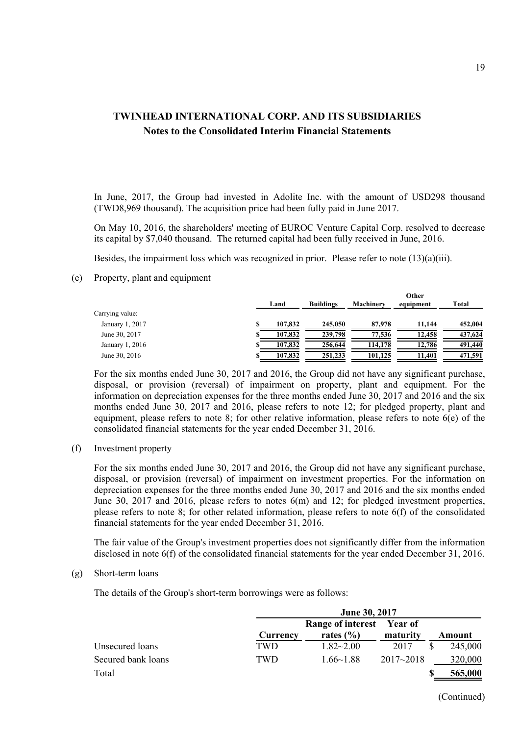In June, 2017, the Group had invested in Adolite Inc. with the amount of USD298 thousand (TWD8,969 thousand). The acquisition price had been fully paid in June 2017.

On May 10, 2016, the shareholders' meeting of EUROC Venture Capital Corp. resolved to decrease its capital by \$7,040 thousand. The returned capital had been fully received in June, 2016.

Besides, the impairment loss which was recognized in prior. Please refer to note  $(13)(a)(iii)$ .

(e) Property, plant and equipment

|                 | Land    | <b>Buildings</b> | <b>Machinery</b> | Other<br>equipment | Total   |
|-----------------|---------|------------------|------------------|--------------------|---------|
| Carrying value: |         |                  |                  |                    |         |
| January 1, 2017 | 107,832 | 245,050          | 87,978           | 11.144             | 452,004 |
| June 30, 2017   | 107,832 | 239,798          | 77.536           | 12.458             | 437,624 |
| January 1, 2016 | 107,832 | 256,644          | 114,178          | 12.786             | 491,440 |
| June 30, 2016   | 107,832 | 251,233          | 101,125          | 11.401             | 471,591 |

For the six months ended June 30, 2017 and 2016, the Group did not have any significant purchase, disposal, or provision (reversal) of impairment on property, plant and equipment. For the information on depreciation expenses for the three months ended June 30, 2017 and 2016 and the six months ended June 30, 2017 and 2016, please refers to note 12; for pledged property, plant and equipment, please refers to note 8; for other relative information, please refers to note  $6(e)$  of the consolidated financial statements for the year ended December 31, 2016.

(f) Investment property

For the six months ended June 30, 2017 and 2016, the Group did not have any significant purchase, disposal, or provision (reversal) of impairment on investment properties. For the information on depreciation expenses for the three months ended June 30, 2017 and 2016 and the six months ended June 30, 2017 and 2016, please refers to notes 6(m) and 12; for pledged investment properties, please refers to note 8; for other related information, please refers to note 6(f) of the consolidated financial statements for the year ended December 31, 2016.

The fair value of the Group's investment properties does not significantly differ from the information disclosed in note 6(f) of the consolidated financial statements for the year ended December 31, 2016.

(g) Short-term loans

The details of the Group's short-term borrowings were as follows:

|                    |            | June 30, 2017            |               |  |         |  |
|--------------------|------------|--------------------------|---------------|--|---------|--|
|                    |            | <b>Range of interest</b> | Year of       |  |         |  |
|                    | Currency   | rates $(\% )$            | maturity      |  | Amount  |  |
| Unsecured loans    | TWD.       | $1.82 - 2.00$            | 2017          |  | 245,000 |  |
| Secured bank loans | <b>TWD</b> | $1.66 \sim 1.88$         | $2017 - 2018$ |  | 320,000 |  |
| Total              |            |                          |               |  | 565,000 |  |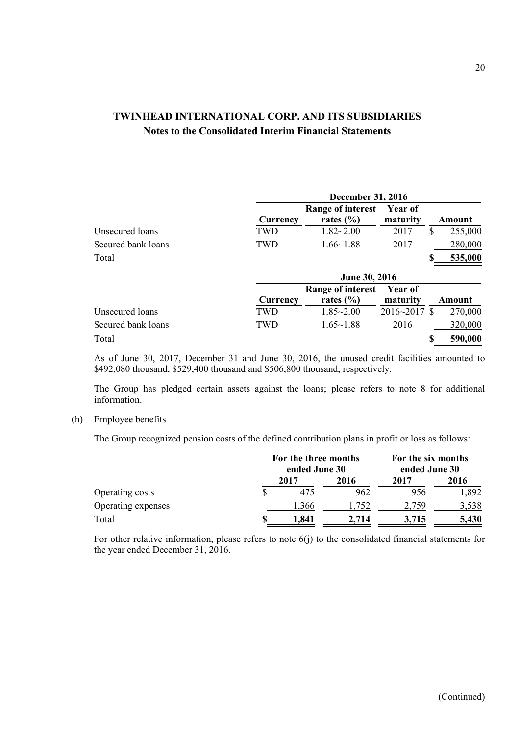|                    | <b>December 31, 2016</b> |                          |                  |               |  |  |  |
|--------------------|--------------------------|--------------------------|------------------|---------------|--|--|--|
|                    |                          | <b>Range of interest</b> | Year of          |               |  |  |  |
|                    | Currency                 | rates $(\% )$            | maturity         | Amount        |  |  |  |
| Unsecured loans    | TWD                      | $1.82 - 2.00$            | 2017             | \$<br>255,000 |  |  |  |
| Secured bank loans | <b>TWD</b>               | $1.66 - 1.88$            | 2017             | 280,000       |  |  |  |
| Total              |                          |                          |                  | 535,000       |  |  |  |
|                    |                          | <b>June 30, 2016</b>     |                  |               |  |  |  |
|                    |                          | <b>Range of interest</b> | Year of          |               |  |  |  |
|                    | Currency                 | rates $(\% )$            | maturity         | Amount        |  |  |  |
| Unsecured loans    | TWD                      | $1.85 - 2.00$            | $2016 - 2017$ \$ | 270,000       |  |  |  |
| Secured bank loans | <b>TWD</b>               | $1.65 - 1.88$            | 2016             | 320,000       |  |  |  |
| Total              |                          |                          |                  | 590,000       |  |  |  |

As of June 30, 2017, December 31 and June 30, 2016, the unused credit facilities amounted to \$492,080 thousand, \$529,400 thousand and \$506,800 thousand, respectively.

The Group has pledged certain assets against the loans; please refers to note 8 for additional information.

#### (h) Employee benefits

The Group recognized pension costs of the defined contribution plans in profit or loss as follows:

|                    | For the three months<br>ended June 30 |       |       | For the six months<br>ended June 30 |  |  |
|--------------------|---------------------------------------|-------|-------|-------------------------------------|--|--|
|                    | 2017                                  | 2016  | 2017  | 2016                                |  |  |
| Operating costs    | 475                                   | 962   | 956   | 1,892                               |  |  |
| Operating expenses | 1.366                                 | .752  | 2,759 | 3,538                               |  |  |
| Total              | 1.841                                 | 2.714 | 3,715 | 5,430                               |  |  |

For other relative information, please refers to note 6(j) to the consolidated financial statements for the year ended December 31, 2016.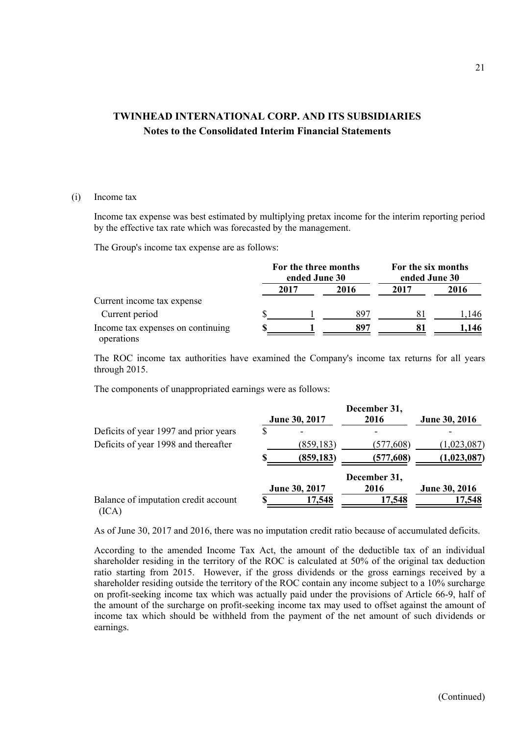#### (i) Income tax

Income tax expense was best estimated by multiplying pretax income for the interim reporting period by the effective tax rate which was forecasted by the management.

The Group's income tax expense are as follows:

|                                                 | For the three months<br>ended June 30 |      |      | For the six months<br>ended June 30 |       |  |
|-------------------------------------------------|---------------------------------------|------|------|-------------------------------------|-------|--|
|                                                 |                                       | 2017 | 2016 | 2017                                | 2016  |  |
| Current income tax expense                      |                                       |      |      |                                     |       |  |
| Current period                                  |                                       |      | 897  | 81                                  | 1.146 |  |
| Income tax expenses on continuing<br>operations |                                       |      | 897  |                                     | 1,146 |  |

The ROC income tax authorities have examined the Company's income tax returns for all years through 2015.

The components of unappropriated earnings were as follows:

|                                               | June 30, 2017 | December 31,<br>2016 | <b>June 30, 2016</b> |
|-----------------------------------------------|---------------|----------------------|----------------------|
| Deficits of year 1997 and prior years         |               |                      |                      |
| Deficits of year 1998 and thereafter          | (859, 183)    | (577,608)            | (1,023,087)          |
|                                               | (859, 183)    | (577,608)            | (1,023,087)          |
|                                               | June 30, 2017 | December 31,<br>2016 | <b>June 30, 2016</b> |
| Balance of imputation credit account<br>(ICA) | 17,548        | 17,548               | 17,548               |

As of June 30, 2017 and 2016, there was no imputation credit ratio because of accumulated deficits.

According to the amended Income Tax Act, the amount of the deductible tax of an individual shareholder residing in the territory of the ROC is calculated at 50% of the original tax deduction ratio starting from 2015. However, if the gross dividends or the gross earnings received by a shareholder residing outside the territory of the ROC contain any income subject to a 10% surcharge on profit-seeking income tax which was actually paid under the provisions of Article 66-9, half of the amount of the surcharge on profit-seeking income tax may used to offset against the amount of income tax which should be withheld from the payment of the net amount of such dividends or earnings.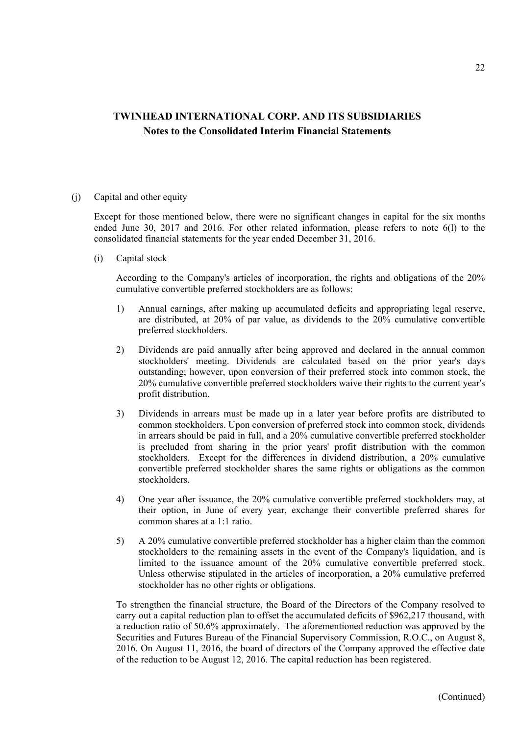(j) Capital and other equity

Except for those mentioned below, there were no significant changes in capital for the six months ended June 30, 2017 and 2016. For other related information, please refers to note 6(l) to the consolidated financial statements for the year ended December 31, 2016.

(i) Capital stock

According to the Company's articles of incorporation, the rights and obligations of the 20% cumulative convertible preferred stockholders are as follows:

- 1) Annual earnings, after making up accumulated deficits and appropriating legal reserve, are distributed, at 20% of par value, as dividends to the 20% cumulative convertible preferred stockholders.
- 2) Dividends are paid annually after being approved and declared in the annual common stockholders' meeting. Dividends are calculated based on the prior year's days outstanding; however, upon conversion of their preferred stock into common stock, the 20% cumulative convertible preferred stockholders waive their rights to the current year's profit distribution.
- 3) Dividends in arrears must be made up in a later year before profits are distributed to common stockholders. Upon conversion of preferred stock into common stock, dividends in arrears should be paid in full, and a 20% cumulative convertible preferred stockholder is precluded from sharing in the prior years' profit distribution with the common stockholders. Except for the differences in dividend distribution, a 20% cumulative convertible preferred stockholder shares the same rights or obligations as the common stockholders.
- 4) One year after issuance, the 20% cumulative convertible preferred stockholders may, at their option, in June of every year, exchange their convertible preferred shares for common shares at a 1:1 ratio.
- 5) A 20% cumulative convertible preferred stockholder has a higher claim than the common stockholders to the remaining assets in the event of the Company's liquidation, and is limited to the issuance amount of the 20% cumulative convertible preferred stock. Unless otherwise stipulated in the articles of incorporation, a 20% cumulative preferred stockholder has no other rights or obligations.

To strengthen the financial structure, the Board of the Directors of the Company resolved to carry out a capital reduction plan to offset the accumulated deficits of \$962,217 thousand, with a reduction ratio of 50.6% approximately. The aforementioned reduction was approved by the Securities and Futures Bureau of the Financial Supervisory Commission, R.O.C., on August 8, 2016. On August 11, 2016, the board of directors of the Company approved the effective date of the reduction to be August 12, 2016. The capital reduction has been registered.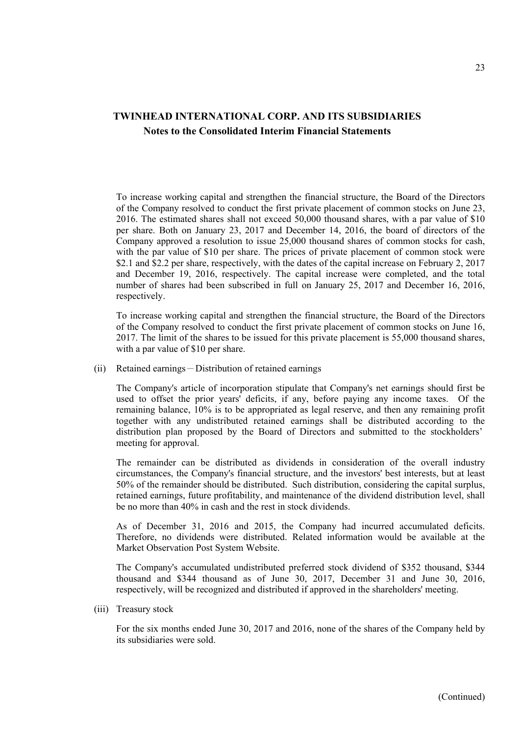To increase working capital and strengthen the financial structure, the Board of the Directors of the Company resolved to conduct the first private placement of common stocks on June 23, 2016. The estimated shares shall not exceed 50,000 thousand shares, with a par value of \$10 per share. Both on January 23, 2017 and December 14, 2016, the board of directors of the Company approved a resolution to issue 25,000 thousand shares of common stocks for cash, with the par value of \$10 per share. The prices of private placement of common stock were \$2.1 and \$2.2 per share, respectively, with the dates of the capital increase on February 2, 2017 and December 19, 2016, respectively. The capital increase were completed, and the total number of shares had been subscribed in full on January 25, 2017 and December 16, 2016, respectively.

To increase working capital and strengthen the financial structure, the Board of the Directors of the Company resolved to conduct the first private placement of common stocks on June 16, 2017. The limit of the shares to be issued for this private placement is 55,000 thousand shares, with a par value of \$10 per share.

(ii) Retained earnings-Distribution of retained earnings

The Company's article of incorporation stipulate that Company's net earnings should first be used to offset the prior years' deficits, if any, before paying any income taxes. Of the remaining balance, 10% is to be appropriated as legal reserve, and then any remaining profit together with any undistributed retained earnings shall be distributed according to the distribution plan proposed by the Board of Directors and submitted to the stockholders' meeting for approval.

The remainder can be distributed as dividends in consideration of the overall industry circumstances, the Company's financial structure, and the investors' best interests, but at least 50% of the remainder should be distributed. Such distribution, considering the capital surplus, retained earnings, future profitability, and maintenance of the dividend distribution level, shall be no more than 40% in cash and the rest in stock dividends.

As of December 31, 2016 and 2015, the Company had incurred accumulated deficits. Therefore, no dividends were distributed. Related information would be available at the Market Observation Post System Website.

The Company's accumulated undistributed preferred stock dividend of \$352 thousand, \$344 thousand and \$344 thousand as of June 30, 2017, December 31 and June 30, 2016, respectively, will be recognized and distributed if approved in the shareholders' meeting.

(iii) Treasury stock

For the six months ended June 30, 2017 and 2016, none of the shares of the Company held by its subsidiaries were sold.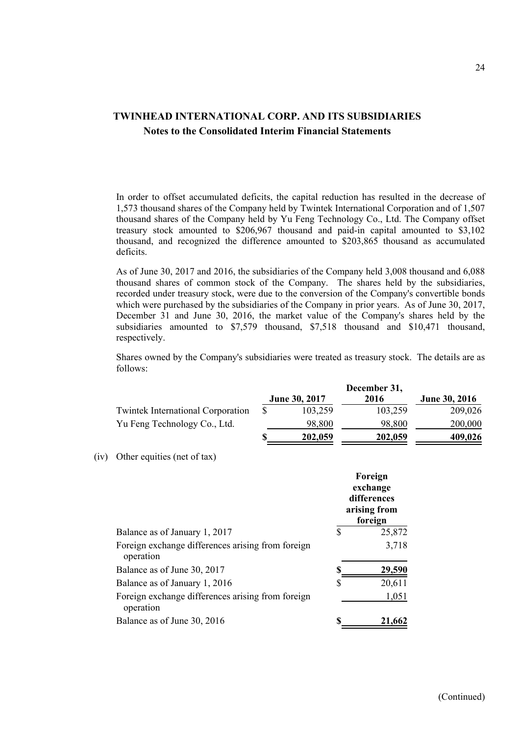In order to offset accumulated deficits, the capital reduction has resulted in the decrease of 1,573 thousand shares of the Company held by Twintek International Corporation and of 1,507 thousand shares of the Company held by Yu Feng Technology Co., Ltd. The Company offset treasury stock amounted to \$206,967 thousand and paid-in capital amounted to \$3,102 thousand, and recognized the difference amounted to \$203,865 thousand as accumulated deficits.

As of June 30, 2017 and 2016, the subsidiaries of the Company held 3,008 thousand and 6,088 thousand shares of common stock of the Company. The shares held by the subsidiaries, recorded under treasury stock, were due to the conversion of the Company's convertible bonds which were purchased by the subsidiaries of the Company in prior years. As of June 30, 2017, December 31 and June 30, 2016, the market value of the Company's shares held by the subsidiaries amounted to \$7,579 thousand, \$7,518 thousand and \$10,471 thousand, respectively.

Shares owned by the Company's subsidiaries were treated as treasury stock. The details are as follows:

|                                          | December 31, |                      |         |                      |  |
|------------------------------------------|--------------|----------------------|---------|----------------------|--|
|                                          |              | <b>June 30, 2017</b> | 2016    | <b>June 30, 2016</b> |  |
| <b>Twintek International Corporation</b> |              | 103,259              | 103,259 | 209,026              |  |
| Yu Feng Technology Co., Ltd.             |              | 98,800               | 98,800  | 200,000              |  |
|                                          |              | 202,059              | 202,059 | 409,026              |  |

<sup>(</sup>iv) Other equities (net of tax)

|                                                                | Foreign<br>exchange<br>differences<br>arising from<br>foreign |               |  |
|----------------------------------------------------------------|---------------------------------------------------------------|---------------|--|
| Balance as of January 1, 2017                                  | \$                                                            | 25,872        |  |
| Foreign exchange differences arising from foreign<br>operation |                                                               | 3,718         |  |
| Balance as of June 30, 2017                                    |                                                               | <u>29,590</u> |  |
| Balance as of January 1, 2016                                  | S                                                             | 20,611        |  |
| Foreign exchange differences arising from foreign<br>operation |                                                               | 1,051         |  |
| Balance as of June 30, 2016                                    |                                                               | 21,662        |  |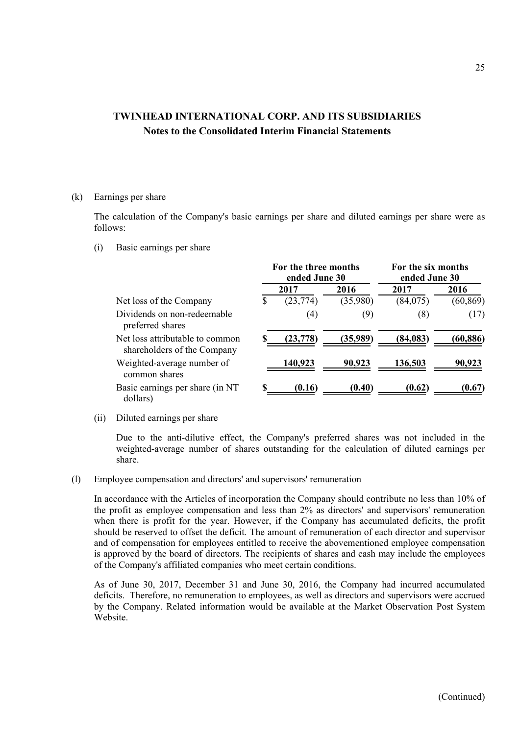#### (k) Earnings per share

The calculation of the Company's basic earnings per share and diluted earnings per share were as follows:

(i) Basic earnings per share

|                                                                | For the three months<br>ended June 30 |           |          | For the six months<br>ended June 30 |           |  |
|----------------------------------------------------------------|---------------------------------------|-----------|----------|-------------------------------------|-----------|--|
|                                                                |                                       | 2017      | 2016     | 2017                                | 2016      |  |
| Net loss of the Company                                        | S                                     | (23, 774) | (35,980) | (84,075)                            | (60, 869) |  |
| Dividends on non-redeemable<br>preferred shares                |                                       | (4)       | (9)      | (8)                                 | (17)      |  |
| Net loss attributable to common<br>shareholders of the Company |                                       | (23, 778) | (35,989) | (84, 083)                           | (60, 886) |  |
| Weighted-average number of<br>common shares                    |                                       | 140,923   | 90,923   | 136,503                             | 90,923    |  |
| Basic earnings per share (in NT<br>dollars)                    |                                       | (0.16)    | (0.40)   | (0.62)                              | (0.67)    |  |

(ii) Diluted earnings per share

Due to the anti-dilutive effect, the Company's preferred shares was not included in the weighted-average number of shares outstanding for the calculation of diluted earnings per share.

(l) Employee compensation and directors' and supervisors' remuneration

In accordance with the Articles of incorporation the Company should contribute no less than 10% of the profit as employee compensation and less than 2% as directors' and supervisors' remuneration when there is profit for the year. However, if the Company has accumulated deficits, the profit should be reserved to offset the deficit. The amount of remuneration of each director and supervisor and of compensation for employees entitled to receive the abovementioned employee compensation is approved by the board of directors. The recipients of shares and cash may include the employees of the Company's affiliated companies who meet certain conditions.

As of June 30, 2017, December 31 and June 30, 2016, the Company had incurred accumulated deficits. Therefore, no remuneration to employees, as well as directors and supervisors were accrued by the Company. Related information would be available at the Market Observation Post System Website.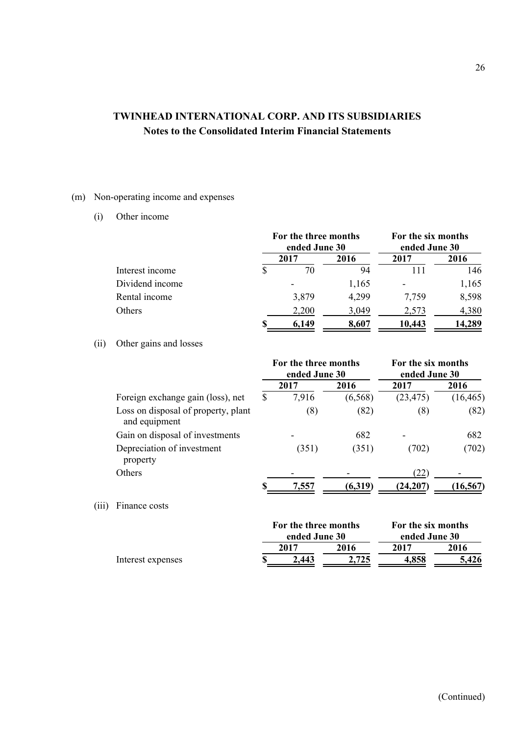### (m) Non-operating income and expenses

(i) Other income

|                 |   | For the three months<br>ended June 30 |       |        | For the six months<br>ended June 30 |  |
|-----------------|---|---------------------------------------|-------|--------|-------------------------------------|--|
|                 |   | 2017                                  | 2016  | 2017   | 2016                                |  |
| Interest income | S | 70                                    | 94    |        | 146                                 |  |
| Dividend income |   |                                       | 1,165 |        | 1,165                               |  |
| Rental income   |   | 3,879                                 | 4,299 | 7,759  | 8,598                               |  |
| Others          |   | 2,200                                 | 3,049 | 2,573  | 4,380                               |  |
|                 |   | 6.149                                 | 8,607 | 10,443 | 14,289                              |  |

### (ii) Other gains and losses

|       |                                                      | For the three months<br>ended June 30 |       |         | For the six months<br>ended June 30 |           |
|-------|------------------------------------------------------|---------------------------------------|-------|---------|-------------------------------------|-----------|
|       |                                                      |                                       | 2017  | 2016    | 2017                                | 2016      |
|       | Foreign exchange gain (loss), net                    | \$                                    | 7,916 | (6,568) | (23, 475)                           | (16, 465) |
|       | Loss on disposal of property, plant<br>and equipment |                                       | (8)   | (82)    | (8)                                 | (82)      |
|       | Gain on disposal of investments                      |                                       |       | 682     |                                     | 682       |
|       | Depreciation of investment<br>property               |                                       | (351) | (351)   | (702)                               | (702)     |
|       | Others                                               |                                       |       |         | (22)                                |           |
|       |                                                      |                                       | 7,557 | (6,319) | (24, 207)                           | (16, 567) |
| (111) | Finance costs                                        |                                       |       |         |                                     |           |

|                   | For the three months |       | For the six months |       |  |
|-------------------|----------------------|-------|--------------------|-------|--|
|                   | ended June 30        |       | ended June 30      |       |  |
|                   | 2017                 | 2016  | 2017               | 2016  |  |
| Interest expenses | 2.443                | 2.725 | 4.858              | 5.426 |  |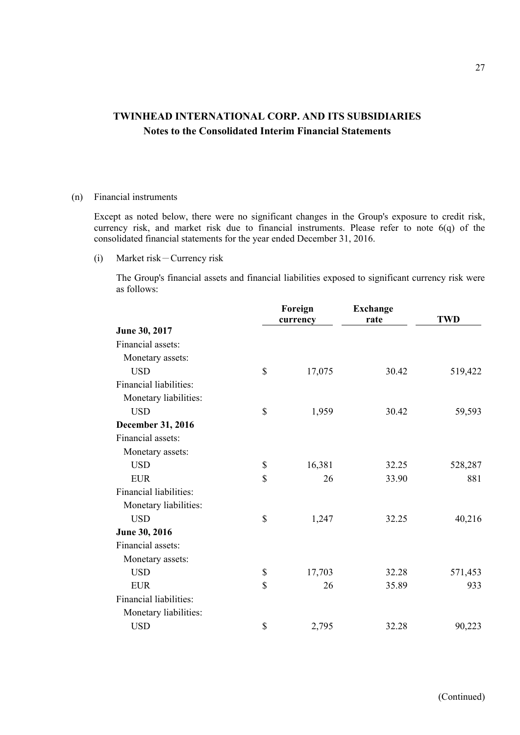#### (n) Financial instruments

Except as noted below, there were no significant changes in the Group's exposure to credit risk, currency risk, and market risk due to financial instruments. Please refer to note 6(q) of the consolidated financial statements for the year ended December 31, 2016.

(i) Market risk-Currency risk

The Group's financial assets and financial liabilities exposed to significant currency risk were as follows:

|                        | Foreign<br>currency | <b>Exchange</b><br>rate | <b>TWD</b> |
|------------------------|---------------------|-------------------------|------------|
| June 30, 2017          |                     |                         |            |
| Financial assets:      |                     |                         |            |
| Monetary assets:       |                     |                         |            |
| <b>USD</b>             | \$<br>17,075        | 30.42                   | 519,422    |
| Financial liabilities: |                     |                         |            |
| Monetary liabilities:  |                     |                         |            |
| <b>USD</b>             | \$<br>1,959         | 30.42                   | 59,593     |
| December 31, 2016      |                     |                         |            |
| Financial assets:      |                     |                         |            |
| Monetary assets:       |                     |                         |            |
| <b>USD</b>             | \$<br>16,381        | 32.25                   | 528,287    |
| <b>EUR</b>             | \$<br>26            | 33.90                   | 881        |
| Financial liabilities: |                     |                         |            |
| Monetary liabilities:  |                     |                         |            |
| <b>USD</b>             | \$<br>1,247         | 32.25                   | 40,216     |
| June 30, 2016          |                     |                         |            |
| Financial assets:      |                     |                         |            |
| Monetary assets:       |                     |                         |            |
| <b>USD</b>             | \$<br>17,703        | 32.28                   | 571,453    |
| <b>EUR</b>             | \$<br>26            | 35.89                   | 933        |
| Financial liabilities: |                     |                         |            |
| Monetary liabilities:  |                     |                         |            |
| <b>USD</b>             | \$<br>2,795         | 32.28                   | 90,223     |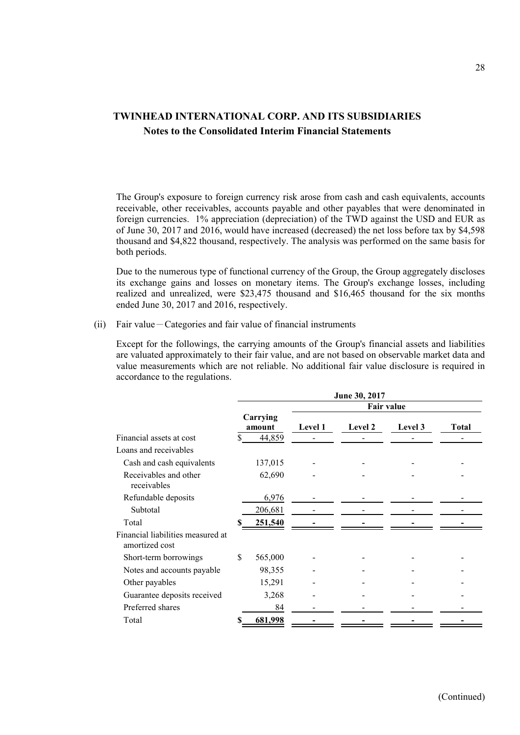The Group's exposure to foreign currency risk arose from cash and cash equivalents, accounts receivable, other receivables, accounts payable and other payables that were denominated in foreign currencies. 1% appreciation (depreciation) of the TWD against the USD and EUR as of June 30, 2017 and 2016, would have increased (decreased) the net loss before tax by \$4,598 thousand and \$4,822 thousand, respectively. The analysis was performed on the same basis for both periods.

Due to the numerous type of functional currency of the Group, the Group aggregately discloses its exchange gains and losses on monetary items. The Group's exchange losses, including realized and unrealized, were \$23,475 thousand and \$16,465 thousand for the six months ended June 30, 2017 and 2016, respectively.

#### (ii) Fair value-Categories and fair value of financial instruments

Except for the followings, the carrying amounts of the Group's financial assets and liabilities are valuated approximately to their fair value, and are not based on observable market data and value measurements which are not reliable. No additional fair value disclosure is required in accordance to the regulations.

|                                                     | June 30, 2017 |                    |                |         |         |       |  |
|-----------------------------------------------------|---------------|--------------------|----------------|---------|---------|-------|--|
|                                                     |               | <b>Fair value</b>  |                |         |         |       |  |
|                                                     |               | Carrying<br>amount | <b>Level 1</b> | Level 2 | Level 3 | Total |  |
| Financial assets at cost                            | \$            | 44,859             |                |         |         |       |  |
| Loans and receivables                               |               |                    |                |         |         |       |  |
| Cash and cash equivalents                           |               | 137,015            |                |         |         |       |  |
| Receivables and other<br>receivables                |               | 62,690             |                |         |         |       |  |
| Refundable deposits                                 |               | 6,976              |                |         |         |       |  |
| Subtotal                                            |               | 206,681            |                |         |         |       |  |
| Total                                               |               | <u>251,540</u>     |                |         |         |       |  |
| Financial liabilities measured at<br>amortized cost |               |                    |                |         |         |       |  |
| Short-term borrowings                               | \$            | 565,000            |                |         |         |       |  |
| Notes and accounts payable                          |               | 98,355             |                |         |         |       |  |
| Other payables                                      |               | 15,291             |                |         |         |       |  |
| Guarantee deposits received                         |               | 3,268              |                |         |         |       |  |
| Preferred shares                                    |               | 84                 |                |         |         |       |  |
| Total                                               |               | 681,998            |                |         |         |       |  |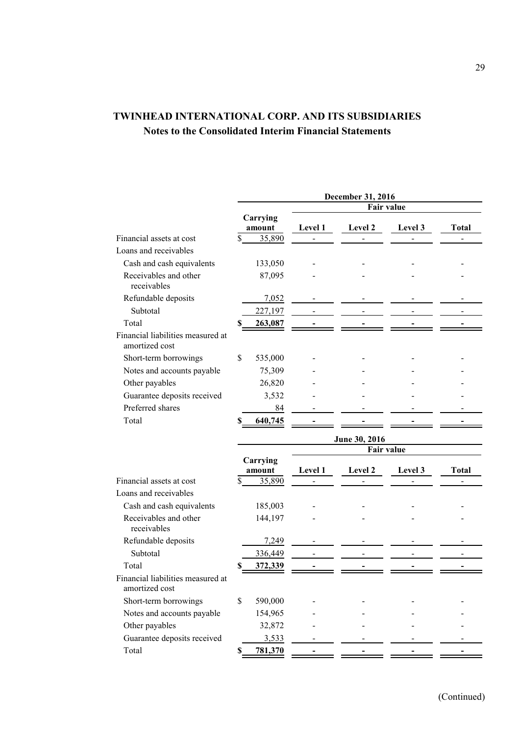|                                                     | December 31, 2016       |                    |                |                                    |         |              |  |  |
|-----------------------------------------------------|-------------------------|--------------------|----------------|------------------------------------|---------|--------------|--|--|
|                                                     |                         |                    | Fair value     |                                    |         |              |  |  |
|                                                     |                         | Carrying<br>amount | Level 1        | Level 2                            | Level 3 | <b>Total</b> |  |  |
| Financial assets at cost                            | $\overline{\mathbb{S}}$ | 35,890             |                |                                    |         |              |  |  |
| Loans and receivables                               |                         |                    |                |                                    |         |              |  |  |
| Cash and cash equivalents                           |                         | 133,050            |                |                                    |         |              |  |  |
| Receivables and other<br>receivables                |                         | 87,095             |                |                                    |         |              |  |  |
| Refundable deposits                                 |                         | 7,052              |                |                                    |         |              |  |  |
| Subtotal                                            |                         | 227,197            |                |                                    |         |              |  |  |
| Total                                               | S                       | 263,087            |                |                                    |         |              |  |  |
| Financial liabilities measured at<br>amortized cost |                         |                    |                |                                    |         |              |  |  |
| Short-term borrowings                               | \$                      | 535,000            |                |                                    |         |              |  |  |
| Notes and accounts payable                          |                         | 75,309             |                |                                    |         |              |  |  |
| Other payables                                      |                         | 26,820             |                |                                    |         |              |  |  |
| Guarantee deposits received                         |                         | 3,532              |                |                                    |         |              |  |  |
| Preferred shares                                    |                         | 84                 |                |                                    |         |              |  |  |
| Total                                               | S                       | 640,745            |                |                                    |         |              |  |  |
|                                                     |                         |                    |                |                                    |         |              |  |  |
|                                                     |                         |                    |                | June 30, 2016<br><b>Fair value</b> |         |              |  |  |
|                                                     |                         | Carrying           |                |                                    |         |              |  |  |
|                                                     |                         | amount             | <b>Level 1</b> | Level 2                            | Level 3 | Total        |  |  |
| Financial assets at cost                            | S                       | 35,890             |                |                                    |         |              |  |  |
| Loans and receivables                               |                         |                    |                |                                    |         |              |  |  |
| Cash and cash equivalents                           |                         | 185,003            |                |                                    |         |              |  |  |
| Receivables and other<br>receivables                |                         | 144,197            |                |                                    |         |              |  |  |
| Refundable deposits                                 |                         | 7,249              |                |                                    |         |              |  |  |
| Subtotal                                            |                         | 336,449            |                |                                    |         |              |  |  |
| Total                                               |                         | 372,339            |                |                                    |         |              |  |  |
| Financial liabilities measured at<br>amortized cost |                         |                    |                |                                    |         |              |  |  |
| Short-term borrowings                               | \$                      | 590,000            |                |                                    |         |              |  |  |
| Notes and accounts payable                          |                         | 154,965            |                |                                    |         |              |  |  |
| Other payables                                      |                         | 32,872             |                |                                    |         |              |  |  |
| Guarantee deposits received                         |                         | 3,533              |                |                                    |         |              |  |  |
| Total                                               | S.                      | 781,370            |                |                                    |         |              |  |  |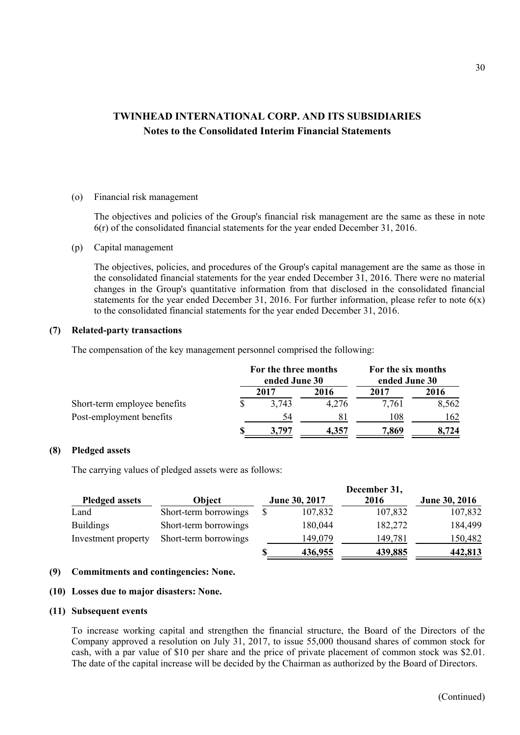#### (o) Financial risk management

The objectives and policies of the Group's financial risk management are the same as these in note 6(r) of the consolidated financial statements for the year ended December 31, 2016.

#### (p) Capital management

The objectives, policies, and procedures of the Group's capital management are the same as those in the consolidated financial statements for the year ended December 31, 2016. There were no material changes in the Group's quantitative information from that disclosed in the consolidated financial statements for the year ended December 31, 2016. For further information, please refer to note  $6(x)$ to the consolidated financial statements for the year ended December 31, 2016.

#### **(7) Related-party transactions**

The compensation of the key management personnel comprised the following:

|                              | For the three months<br>ended June 30 |       | For the six months<br>ended June 30 |       |  |
|------------------------------|---------------------------------------|-------|-------------------------------------|-------|--|
|                              | 2017                                  | 2016  | 2017                                | 2016  |  |
| Short-term employee benefits | 3,743                                 | 4.276 | 7.761                               | 8,562 |  |
| Post-employment benefits     | 54                                    | 81    | 108                                 | 162   |  |
|                              | 3,797                                 | 4.357 | 7,869                               | 8.724 |  |

#### **(8) Pledged assets**

The carrying values of pledged assets were as follows:

|                       |                       |               |         | December 31, |               |
|-----------------------|-----------------------|---------------|---------|--------------|---------------|
| <b>Pledged assets</b> | Object                | June 30, 2017 |         | 2016         | June 30, 2016 |
| Land                  | Short-term borrowings |               | 107,832 | 107,832      | 107,832       |
| <b>Buildings</b>      | Short-term borrowings |               | 180,044 | 182,272      | 184,499       |
| Investment property   | Short-term borrowings |               | 149,079 | 149,781      | 150,482       |
|                       |                       |               | 436,955 | 439,885      | 442,813       |

#### **(9) Commitments and contingencies: None.**

#### **(10) Losses due to major disasters: None.**

#### **(11) Subsequent events**

To increase working capital and strengthen the financial structure, the Board of the Directors of the Company approved a resolution on July 31, 2017, to issue 55,000 thousand shares of common stock for cash, with a par value of \$10 per share and the price of private placement of common stock was \$2.01. The date of the capital increase will be decided by the Chairman as authorized by the Board of Directors.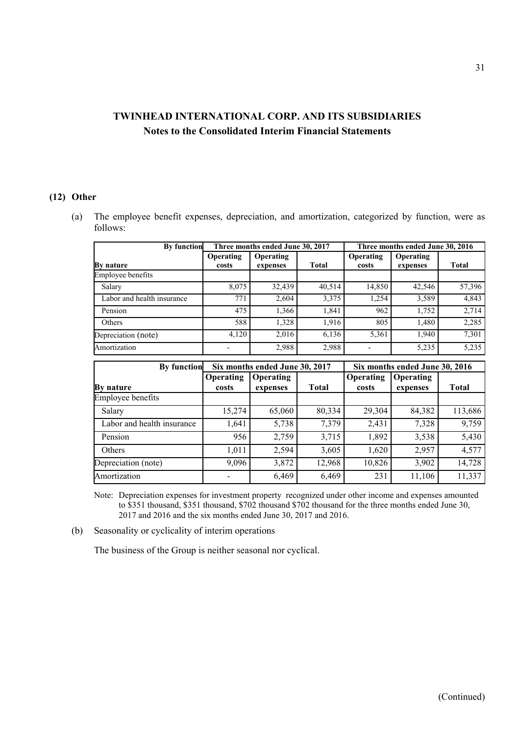### **(12) Other**

(a) The employee benefit expenses, depreciation, and amortization, categorized by function, were as follows:

| <b>By function</b>         |                    | Three months ended June 30, 2017 |              |                    | Three months ended June 30, 2016 |              |
|----------------------------|--------------------|----------------------------------|--------------|--------------------|----------------------------------|--------------|
| By nature                  | Operating<br>costs | <b>Operating</b><br>expenses     | <b>Total</b> | Operating<br>costs | Operating<br>expenses            | <b>Total</b> |
| Employee benefits          |                    |                                  |              |                    |                                  |              |
| Salary                     | 8,075              | 32,439                           | 40,514       | 14,850             | 42,546                           | 57,396       |
| Labor and health insurance | 771                | 2,604                            | 3,375        | 1,254              | 3,589                            | 4,843        |
| Pension                    | 475                | 1,366                            | 1,841        | 962                | 1,752                            | 2,714        |
| Others                     | 588                | 1,328                            | 1,916        | 805                | 1,480                            | 2,285        |
| Depreciation (note)        | 4,120              | 2,016                            | 6,136        | 5,361              | 1.940                            | 7,301        |
| Amortization               |                    | 2,988                            | 2,988        |                    | 5,235                            | 5,235        |

| <b>By function</b>         |                    | Six months ended June 30, 2017 |              | Six months ended June 30, 2016 |                              |              |  |
|----------------------------|--------------------|--------------------------------|--------------|--------------------------------|------------------------------|--------------|--|
| By nature                  | Operating<br>costs | Operating<br>expenses          | <b>Total</b> | Operating<br>costs             | <b>Operating</b><br>expenses | <b>Total</b> |  |
| Employee benefits          |                    |                                |              |                                |                              |              |  |
| Salary                     | 15,274             | 65,060                         | 80,334       | 29,304                         | 84,382                       | 113,686      |  |
| Labor and health insurance | 1,641              | 5,738                          | 7,379        | 2,431                          | 7,328                        | 9,759        |  |
| Pension                    | 956                | 2,759                          | 3,715        | 1,892                          | 3,538                        | 5,430        |  |
| Others                     | 1,011              | 2,594                          | 3,605        | 1,620                          | 2,957                        | 4,577        |  |
| Depreciation (note)        | 9,096              | 3,872                          | 12,968       | 10,826                         | 3,902                        | 14,728       |  |
| Amortization               |                    | 6,469                          | 6,469        | 231                            | 11,106                       | 11,337       |  |

Note: Depreciation expenses for investment property recognized under other income and expenses amounted to \$351 thousand, \$351 thousand, \$702 thousand \$702 thousand for the three months ended June 30, 2017 and 2016 and the six months ended June 30, 2017 and 2016.

(b) Seasonality or cyclicality of interim operations

The business of the Group is neither seasonal nor cyclical.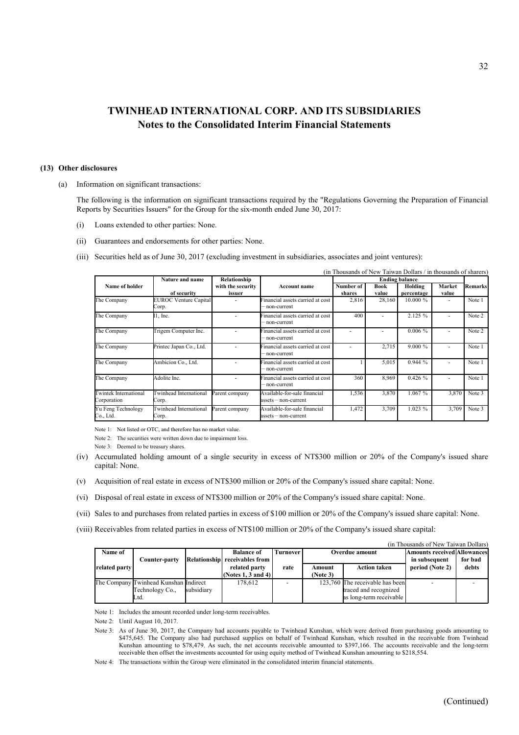#### **(13) Other disclosures**

(a) Information on significant transactions:

The following is the information on significant transactions required by the "Regulations Governing the Preparation of Financial Reports by Securities Issuers" for the Group for the six-month ended June 30, 2017:

- (i) Loans extended to other parties: None.
- (ii) Guarantees and endorsements for other parties: None.
- (iii) Securities held as of June 30, 2017 (excluding investment in subsidiaries, associates and joint ventures):

|                                             |                                 |                   |                                                         |                 |                 | (in Thousands of New Taiwan Dollars / in thousands of sharers) |                          |                |
|---------------------------------------------|---------------------------------|-------------------|---------------------------------------------------------|-----------------|-----------------|----------------------------------------------------------------|--------------------------|----------------|
|                                             | <b>Nature and name</b>          | Relationship      |                                                         |                 |                 |                                                                |                          |                |
| Name of holder                              | of security                     | with the security | Account name                                            | Number of       | <b>Book</b>     | Holding                                                        | Market                   | <b>Remarks</b> |
| The Company                                 | EUROC Venture Capital<br>Corp.  | issuer            | Financial assets carried at cost<br>-non-current        | shares<br>2,816 | value<br>28,160 | percentage<br>$10.000 \%$                                      | value<br>$\blacksquare$  | Note 1         |
| The Company                                 | $\mathbb{I}$ , Inc.             |                   | Financial assets carried at cost<br>non-current         | 400             |                 | 2.125 %                                                        | ۰                        | Note 2         |
| The Company                                 | Trigem Computer Inc.            |                   | Financial assets carried at cost<br>- non-current       |                 |                 | $0.006\%$                                                      |                          | Note 2         |
| The Company                                 | Printec Japan Co., Ltd.         |                   | Financial assets carried at cost<br>non-current         |                 | 2,715           | $9.000\%$                                                      | $\overline{\phantom{a}}$ | Note 1         |
| The Company                                 | Ambicion Co., Ltd.              |                   | Financial assets carried at cost<br>- non-current       |                 | 5,015           | 0.944%                                                         | $\blacksquare$           | Note 1         |
| The Company                                 | Adolite Inc.                    |                   | Financial assets carried at cost<br>- non-current       | 360             | 8,969           | 0.426%                                                         | ۰                        | Note 1         |
| <b>Twintek International</b><br>Corporation | Twinhead International<br>Corp. | Parent company    | Available-for-sale financial<br>$asserts$ - non-current | 1,536           | 3,870           | 1.067%                                                         | 3,870                    | Note 3         |
| Yu Feng Technology<br>Co., Ltd.             | Twinhead International<br>Corp. | Parent company    | Available-for-sale financial<br>$asserts$ - non-current | 1,472           | 3,709           | $1.023 \%$                                                     | 3,709                    | Note 3         |

Note 1: Not listed or OTC, and therefore has no market value.

Note 2: The securities were written down due to impairment loss.

Note 3: Deemed to be treasury shares.

- (iv) Accumulated holding amount of a single security in excess of NT\$300 million or 20% of the Company's issued share capital: None.
- (v) Acquisition of real estate in excess of NT\$300 million or 20% of the Company's issued share capital: None.
- (vi) Disposal of real estate in excess of NT\$300 million or 20% of the Company's issued share capital: None.
- (vii) Sales to and purchases from related parties in excess of \$100 million or 20% of the Company's issued share capital: None.
- (viii) Receivables from related parties in excess of NT\$100 million or 20% of the Company's issued share capital:

| (in Thousands of New Taiwan Dollars) |                                       |            |                               |          |                               |                                 |                                    |         |  |  |  |  |
|--------------------------------------|---------------------------------------|------------|-------------------------------|----------|-------------------------------|---------------------------------|------------------------------------|---------|--|--|--|--|
| Name of                              |                                       |            | <b>Balance of</b>             | Furnover | Overdue amount                |                                 | <b>Amounts received Allowances</b> |         |  |  |  |  |
|                                      | Counter-party                         |            | Relationship receivables from |          |                               |                                 | in subsequent                      | for bad |  |  |  |  |
| related party                        |                                       |            | related party                 | rate     | <b>Action taken</b><br>Amount |                                 | period (Note 2)                    | debts   |  |  |  |  |
|                                      |                                       |            | (Notes 1, 3 and 4)]           |          | (Note 3)                      |                                 |                                    |         |  |  |  |  |
|                                      | The Company Twinhead Kunshan Indirect |            | 178.612                       |          |                               | 123,760 The receivable has been |                                    |         |  |  |  |  |
|                                      | Technology Co.,                       | subsidiary |                               |          |                               | traced and recognized           |                                    |         |  |  |  |  |
|                                      | Ltd.                                  |            |                               |          |                               | as long-term receivable         |                                    |         |  |  |  |  |

Note 1: Includes the amount recorded under long-term receivables.

Note 2: Until August 10, 2017.

- Note 3: As of June 30, 2017, the Company had accounts payable to Twinhead Kunshan, which were derived from purchasing goods amounting to \$475,645. The Company also had purchased supplies on behalf of Twinhead Kunshan, which resulted in the receivable from Twinhead Kunshan amounting to \$78,479. As such, the net accounts receivable amounted to \$397,166. The accounts receivable and the long-term receivable then offset the investments accounted for using equity method of Twinhead Kunshan amounting to \$218,554.
- Note 4: The transactions within the Group were eliminated in the consolidated interim financial statements.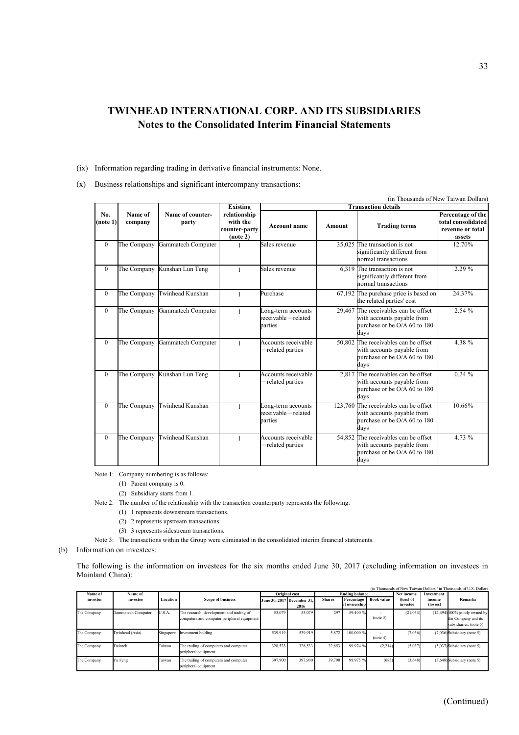- (ix) Information regarding trading in derivative financial instruments: None.
- (x) Business relationships and significant intercompany transactions:

|                 |                    |                           |                                                       |                                                       |               |                                                                                                              | (in Thousands of New Taiwan Dollars)                                  |
|-----------------|--------------------|---------------------------|-------------------------------------------------------|-------------------------------------------------------|---------------|--------------------------------------------------------------------------------------------------------------|-----------------------------------------------------------------------|
|                 |                    |                           | <b>Existing</b>                                       |                                                       |               | <b>Transaction details</b>                                                                                   |                                                                       |
| No.<br>(note 1) | Name of<br>company | Name of counter-<br>party | relationship<br>with the<br>counter-party<br>(note 2) | <b>Account name</b>                                   | <b>Amount</b> | <b>Trading terms</b>                                                                                         | Percentage of the<br>total consolidated<br>revenue or total<br>assets |
| $\overline{0}$  | The Company        | Gammatech Computer        |                                                       | Sales revenue                                         |               | 35,025 The transaction is not<br>significantly different from<br>normal transactions                         | 12.70%                                                                |
| $\Omega$        | The Company        | Kunshan Lun Teng          | 1                                                     | Sales revenue                                         |               | $6,319$ The transaction is not<br>significantly different from<br>normal transactions                        | 2.29 %                                                                |
| $\Omega$        | The Company        | Twinhead Kunshan          | 1                                                     | Purchase                                              |               | 67,192 The purchase price is based on<br>the related parties' cost                                           | 24.37%                                                                |
| $\overline{0}$  | The Company        | Gammatech Computer        | 1                                                     | Long-term accounts<br>receivable-related<br>parties   |               | 29,467 The receivables can be offset<br>with accounts payable from<br>burchase or be $O/A$ 60 to 180<br>days | 2.54 %                                                                |
| $\Omega$        | The Company        | Gammatech Computer        | $\mathbf{1}$                                          | Accounts receivable<br>-related parties               |               | 50,802 The receivables can be offset<br>with accounts payable from<br>purchase or be O/A 60 to 180<br>days   | 4.38 %                                                                |
| $\overline{0}$  | The Company        | Kunshan Lun Teng          | 1                                                     | Accounts receivable<br>-related parties               | 2,817         | The receivables can be offset<br>with accounts payable from<br>murchase or be $O/A$ 60 to 180<br>days        | 0.24%                                                                 |
| $\overline{0}$  | The Company        | Twinhead Kunshan          | 1                                                     | Long-term accounts<br>receivable – related<br>parties |               | 123,760 The receivables can be offset<br>with accounts payable from<br>purchase or be O/A 60 to 180<br>days  | 10.66%                                                                |
| $\mathbf{0}$    | The Company        | Twinhead Kunshan          | $\mathbf{1}$                                          | Accounts receivable<br>-related parties               |               | 54,852 The receivables can be offset<br>with accounts payable from<br>murchase or be $O/A$ 60 to 180<br>days | 4.73 %                                                                |

Note 1: Company numbering is as follows:

- (1) Parent company is 0.
- (2) Subsidiary starts from 1.
- Note 2: The number of the relationship with the transaction counterparty represents the following:
	- (1) 1 represents downstream transactions.
	- (2) 2 represents upstream transactions.
	- (3) 3 represents sidestream transactions.
- Note 3: The transactions within the Group were eliminated in the consolidated interim financial statements.

(b) Information on investees:

The following is the information on investees for the six months ended June 30, 2017 (excluding information on investees in Mainland China):

|             |                    |           |                                                                                         |         |                                    |               |                                   |                   |                       |                    | (in Thousands of New Taiwan Dollars / in Thousands of U.S. Dollars                |
|-------------|--------------------|-----------|-----------------------------------------------------------------------------------------|---------|------------------------------------|---------------|-----------------------------------|-------------------|-----------------------|--------------------|-----------------------------------------------------------------------------------|
| Name of     | Name of            |           |                                                                                         |         | <b>Original</b> cost               |               | <b>Ending balance</b>             |                   | Net income            | Investment         |                                                                                   |
| investor    | investee           | Location  | <b>Scope of business</b>                                                                |         | June 30, 2017 December 31,<br>2016 | <b>Shares</b> | <b>Percentage</b><br>of ownership | <b>Book value</b> | (loss) of<br>investee | income<br>(losses) | <b>Remarks</b>                                                                    |
| The Company | Gammatech Computer | U.S.A.    | The research, development and trading of<br>computers and computer peripheral equipment | 53,079  | 53,079                             | 297           | 59.400 %                          | (note 3)          | (21, 034)             |                    | $(12,494)$ 100% jointly owned by<br>the Company and its<br>subsidiaries. (note 5) |
| The Company | Twinhead (Asia)    | Singapore | nvestment holding                                                                       | 539,919 | 539,919                            | 5,872         | 100.000 %                         | (note 4)          | (7,036)               |                    | $(7,036)$ Subsidiary (note 5)                                                     |
| The Company | Twintek            | Taiwan    | The trading of computers and computer<br>peripheral equipment                           | 328,533 | 328,533                            | 32,853        | 99.974 %                          | (2,214)           | (5,037)               |                    | $(5.037)$ Subsidiary (note 5)                                                     |
| The Company | Yu Feng            | Taiwan    | The trading of computers and computer<br>peripheral equipment                           | 397,900 | 397,900                            | 39,790        | 99.975 %                          | (683)             | (3,648)               |                    | $(3,648)$ Subsidiary (note 5)                                                     |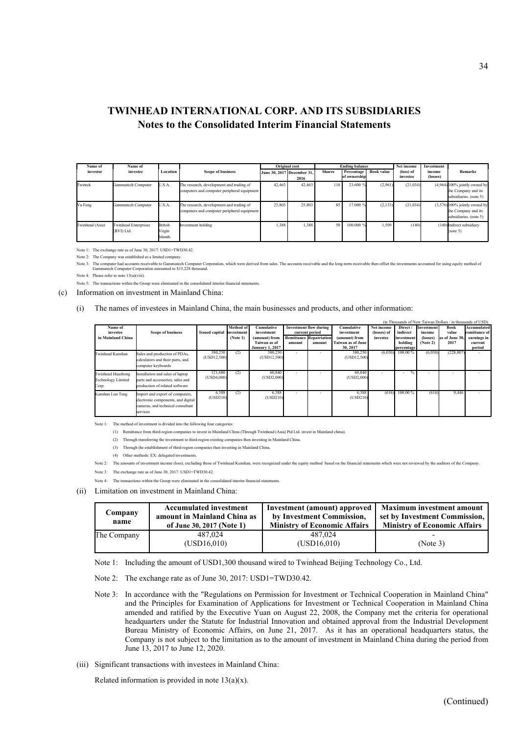| Name of         | Name of                                   |                                     |                                                                                         |        | <b>Original cost</b>               |               | <b>Ending balance</b>      |                   | Net income            | Investment         |                                                                                  |
|-----------------|-------------------------------------------|-------------------------------------|-----------------------------------------------------------------------------------------|--------|------------------------------------|---------------|----------------------------|-------------------|-----------------------|--------------------|----------------------------------------------------------------------------------|
| investor        | investee                                  | Location                            | <b>Scope of business</b>                                                                |        | June 30, 2017 December 31.<br>2016 | <b>Shares</b> | Percentage<br>of ownership | <b>Book value</b> | (loss) of<br>investee | income<br>(losses) | <b>Remarks</b>                                                                   |
| Twintek         | Gammatech Computer                        | U.S.A.                              | The research, development and trading of<br>computers and computer peripheral equipment | 42,463 | 42,463                             | 118           | 23.600 %                   | (2,961)           | (21, 034)             |                    | $(4,964)$ 100% jointly owned by<br>the Company and its<br>subsidiaries. (note 5) |
| Yu Feng         | Gammatech Computer                        | U.S.A.                              | The research, development and trading of<br>computers and computer peripheral equipment | 25,803 | 25,803                             | 85            | 17.000 %                   | (2, 133)          | (21, 034)             |                    | $(3,576)$ 100% jointly owned by<br>the Company and its<br>subsidiaries. (note 5) |
| Twinhead (Asia) | <b>Twinhead Enterprises</b><br>(BVI) Ltd. | <b>British</b><br>Virgin<br>Islands | Investment holding                                                                      | 1,388  | 1,388                              | 50            | 100.000 %                  | 1,509             | (140)                 |                    | (140) Indirect subsidiary<br>(note 5)                                            |

Note 1: The exchange rate as of June 30, 2017: USD1=TWD30.42.

Note 2: The Company was established as a limited company.<br>Note 3: The computer had accounts receivable to Gammatech Computer Corporation<br>Computer Corporation amounted to \$15.228 thousand pration, which were derived from sales. The accounts receivable and the long-term receivable then offset the investments accounted for using equity method of Note 3: The computer had accounts receivable to Gam<br>Gammatech Computer Corporation amounted

Note 4: Please refer to note 13(a)(viii).

Note 5: The transactions within the Group were eliminated in the consolidated interim financial statements.

(c) Information on investment in Mainland China:

#### (i) The names of investees in Mainland China, the main businesses and products, and other information:

|                                                         | (in Thousands of New Taiwan Dollars / in thousands of USD)                                                             |                         |                         |                                                         |                          |                                                 |                                                       |                           |                                     |                             |                        |                                  |
|---------------------------------------------------------|------------------------------------------------------------------------------------------------------------------------|-------------------------|-------------------------|---------------------------------------------------------|--------------------------|-------------------------------------------------|-------------------------------------------------------|---------------------------|-------------------------------------|-----------------------------|------------------------|----------------------------------|
| Name of<br>investee                                     | <b>Scope of business</b>                                                                                               | <b>Issued capital</b>   | Method of<br>investment | <b>Cumulative</b><br>investment                         |                          | <b>Investment flow during</b><br>current period | Cumulative<br>investment                              | Net income<br>(losses) of | Direct<br>indirect                  | <b>Investment</b><br>income | Book<br>value          | Accumulated<br>remittance of     |
| in Mainland China                                       |                                                                                                                        |                         | (Note 1)                | (amount) from<br>Taiwan as of<br><b>January 1, 2017</b> | amount                   | <b>Remittance Repatriation</b><br>amount        | (amount) from<br><b>Taiwan as of June</b><br>30, 2017 | investee                  | investment<br>holding<br>percentage | (losses)<br>(Note 2)        | as of June 30.<br>2017 | earnings in<br>current<br>period |
| Twinhead Kunshan                                        | Sales and production of PDAs,<br>calculators and their parts, and<br>computer keyboards                                | 380,250<br>(USD12, 500) | (2)                     | 380,250<br>(USD12, 500)                                 | $\overline{\phantom{a}}$ |                                                 | 380,250<br>(USD12, 500)                               | (6,030)                   | $100.00\%$                          | (6,030)                     | (228, 807)             |                                  |
| Twinhead Huazhong<br><b>Technology Limited</b><br>Corp. | nstallation and sales of laptop<br>parts and accessories; sales and<br>production of related software                  | 121,680<br>(USD4,000)   | (2)                     | 60,840<br>(USD2,000)                                    | $\overline{\phantom{0}}$ |                                                 | 60,840<br>(USD2,000)                                  | -                         | $\frac{0}{0}$<br>۰.                 |                             |                        |                                  |
| Kunshan Lun Teng                                        | Import and export of computers,<br>electronic components, and digital<br>cameras, and technical consultant<br>services | 6,388<br>(USD210)       | (2)                     | 6,388<br>(USD210)                                       |                          |                                                 | 6,388<br>(USD210)                                     | (616)                     | 100.00 %                            | (616)                       | 9,446                  |                                  |

Note 1: The method of investment is divided into the following four categories:

(1) Remittance from third-region companies to invest in Mainland China (Through Twinhead (Asia) Ptd Ltd. invest in Mainland china).

(2) Through transferring the investment to third-region existing companies then investing in Mainland China.

(3) Through the establishment of third-region companies then investing in Mainland China.

(4) Other methods: EX: delegated investments.

Note 2: The amounts of investment income (loss), excluding those of Twinhead Kunshan, were recognized under the equity method based on the financial statements which were not reviewed by the auditors of the Company

Note 3: The exchange rate as of June 30, 2017: USD1=TWD30.42.

Note 4: The transactions within the Group were eliminated in the consolidated interim financial statements.

(ii) Limitation on investment in Mainland China:

| Company<br>name | <b>Accumulated investment</b><br>amount in Mainland China as<br>of June 30, 2017 (Note 1) | <b>Investment</b> (amount) approved<br>by Investment Commission,<br><b>Ministry of Economic Affairs</b> | <b>Maximum investment amount</b><br>set by Investment Commission,<br><b>Ministry of Economic Affairs</b> |  |  |
|-----------------|-------------------------------------------------------------------------------------------|---------------------------------------------------------------------------------------------------------|----------------------------------------------------------------------------------------------------------|--|--|
| The Company     | 487,024<br>(USD16,010)                                                                    | 487.024<br>(USD16,010)                                                                                  | (Note 3)                                                                                                 |  |  |

Note 1: Including the amount of USD1,300 thousand wired to Twinhead Beijing Technology Co., Ltd.

- Note 2: The exchange rate as of June 30, 2017: USD1=TWD30.42.
- Note 3: In accordance with the "Regulations on Permission for Investment or Technical Cooperation in Mainland China" and the Principles for Examination of Applications for Investment or Technical Cooperation in Mainland China amended and ratified by the Executive Yuan on August 22, 2008, the Company met the criteria for operational headquarters under the Statute for Industrial Innovation and obtained approval from the Industrial Development Bureau Ministry of Economic Affairs, on June 21, 2017. As it has an operational headquarters status, the Company is not subject to the limitation as to the amount of investment in Mainland China during the period from June 13, 2017 to June 12, 2020.
- (iii) Significant transactions with investees in Mainland China:

Related information is provided in note  $13(a)(x)$ .